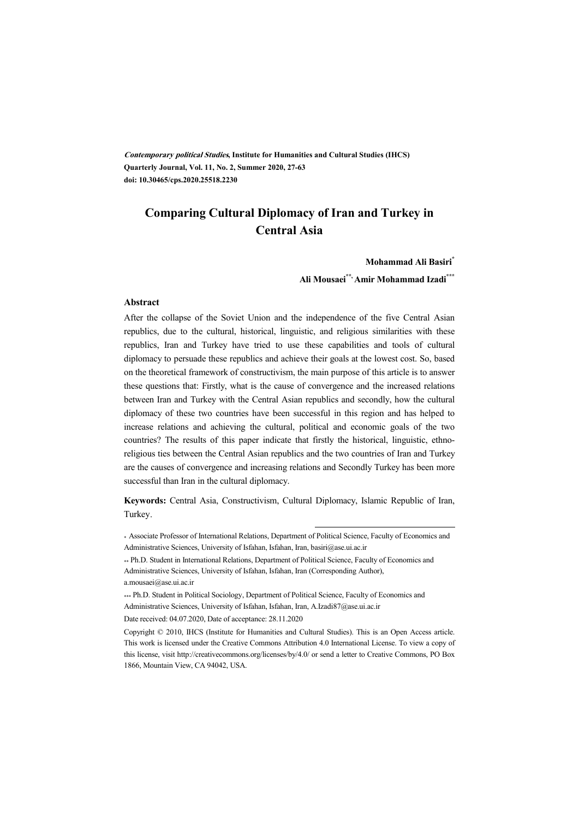**Contemporary political Studies, Institute for Humanities and Cultural Studies (IHCS) Quarterly Journal, Vol. 11, No. 2, Summer 2020, 27-63 doi: 10.30465/cps.2020.25518.2230** 

## **Comparing Cultural Diplomacy of Iran and Turkey in Central Asia**

**Mohammad Ali Basiri\***

**Ali Mousaei\*\*, Amir Mohammad Izadi\*\*\***

#### **Abstract**

After the collapse of the Soviet Union and the independence of the five Central Asian republics, due to the cultural, historical, linguistic, and religious similarities with these republics, Iran and Turkey have tried to use these capabilities and tools of cultural diplomacy to persuade these republics and achieve their goals at the lowest cost. So, based on the theoretical framework of constructivism, the main purpose of this article is to answer these questions that: Firstly, what is the cause of convergence and the increased relations between Iran and Turkey with the Central Asian republics and secondly, how the cultural diplomacy of these two countries have been successful in this region and has helped to increase relations and achieving the cultural, political and economic goals of the two countries? The results of this paper indicate that firstly the historical, linguistic, ethnoreligious ties between the Central Asian republics and the two countries of Iran and Turkey are the causes of convergence and increasing relations and Secondly Turkey has been more successful than Iran in the cultural diplomacy.

**Keywords:** Central Asia, Constructivism, Cultural Diplomacy, Islamic Republic of Iran, Turkey.

.

<sup>\*</sup> Associate Professor of International Relations, Department of Political Science, Faculty of Economics and Administrative Sciences, University of Isfahan, Isfahan, Iran, basiri@ase.ui.ac.ir

<sup>\*\*</sup> Ph.D. Student in International Relations, Department of Political Science, Faculty of Economics and Administrative Sciences, University of Isfahan, Isfahan, Iran (Corresponding Author), a.mousaei@ase.ui.ac.ir

<sup>\*\*\*</sup> Ph.D. Student in Political Sociology, Department of Political Science, Faculty of Economics and Administrative Sciences, University of Isfahan, Isfahan, Iran, A.Izadi87@ase.ui.ac.ir

Date received: 04.07.2020, Date of acceptance: 28.11.2020

Copyright © 2010, IHCS (Institute for Humanities and Cultural Studies). This is an Open Access article. This work is licensed under the Creative Commons Attribution 4.0 International License. To view a copy of this license, visit http://creativecommons.org/licenses/by/4.0/ or send a letter to Creative Commons, PO Box 1866, Mountain View, CA 94042, USA.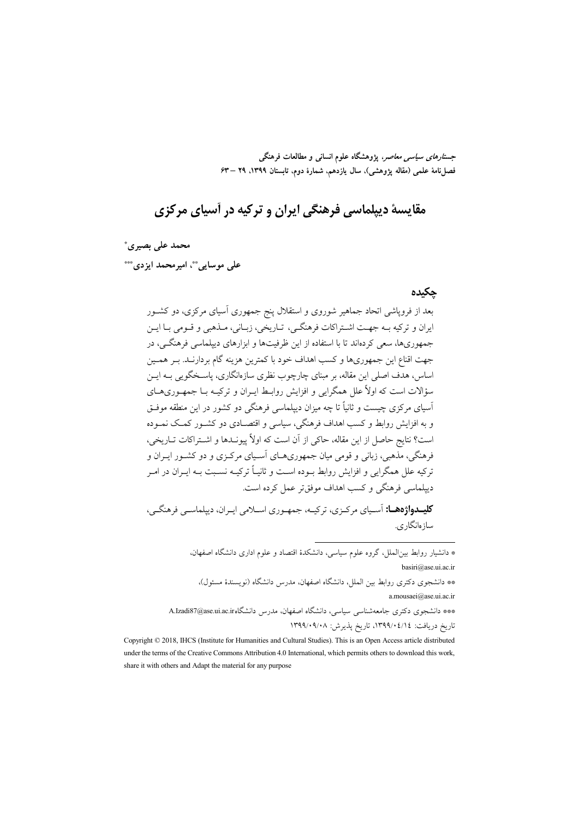جس*تارهای سیاسی معاص*ر، یژوهشگاه علوم انسانی و مطالعات فرهنگی فصلنامهٔ علمی (مقاله پژوهشی)، سال یازدهم، شمارهٔ دوم، تابستان ۱۳۹۹، ۲۹ –۶۳

# مقايسهٔ ديپلماسي فرهنگي ايران و ترکيه در آسياي مرکزي

محمد على بصيرى\*

على موسابي"، اميرمحمد ايزدي""

#### حكىدە

ساز ەانگار ي.

بعد از فروپاشی اتحاد جماهیر شوروی و استقلال پنج جمهوری آسیای مرکزی، دو کشـور ايران و تركيه بـه جهـت اشـتراكات فرهنگـي، تـاريخي، زبـاني، مـذهبي و قـومي بـا ايـن جمهوریها، سعی کردهاند تا با استفاده از این ظرفیتها و ابزارهای دیپلماسی فرهنگـی، در جهت اقناع این جمهوریها و کسب اهداف خود با کمترین هزینه گام بردارنـد. بـر همـین اساس، هدف اصلی این مقاله، بر مبنای چارچوب نظری سازهانگاری، پاسـخگویی بـه ایــن سؤالات است که اولاً علل همگرایی و افزایش روابط ایبران و ترکیبه بـا جمهـوریهـای آسیای مرکزی چیست و ثانیاً تا چه میزان دیپلماسی فرهنگی دو کشور در این منطقه موفـق و به افزایش روابط و کسب اهداف فرهنگی، سیاسی و اقتصـادی دو کشـور کمـک نمـوده است؟ نتايج حاصل از اين مقاله، حاكي از آن است كه اولاً ييونــدها و اشــتراكات تــاريخي، فرهنگی، مذهبی، زبانی و قومی میان جمهوریهـای آسـیای مرکـزی و دو کشـور ایــران و ترکیه علل همگرایی و افزایش روابط بـوده اسـت و ثانیـاً ترکیـه نسـبت بـه ایـران در امـر دیپلماسی فرهنگی و کسب اهداف موفق تر عمل کرده است. **کلیــدواژههــا:** آسـياي مرکـزي، ترکيــه، جمهـوري اســلامي ايـران، ديپلماســي فرهنگــي،

\* دانشیار روابط بین|لملل، گروه علوم سیاسی، دانشکدهٔ اقتصاد و علوم اداری دانشگاه اصفهان، basiri@ase.ui.ac.ir \*\* دانشجوی دکتری روابط بین الملل، دانشگاه اصفهان، مدرس دانشگاه (نویسندهٔ مسئول)، a.mousaei@ase.ui.ac.ir \*\*\* دانشجوی دکتری جامعهشناسی سیاسی، دانشگاه اصفهان، مدرس دانشگاهin.Izadi87@ase.ui.ac.ir

تاريخ دريافت: ١٣٩٩/٠٤/١٤، تاريخ پذيرش: ١٣٩٩/٠٩/٠٨

Copyright © 2018, IHCS (Institute for Humanities and Cultural Studies). This is an Open Access article distributed under the terms of the Creative Commons Attribution 4.0 International, which permits others to download this work, share it with others and Adapt the material for any purpose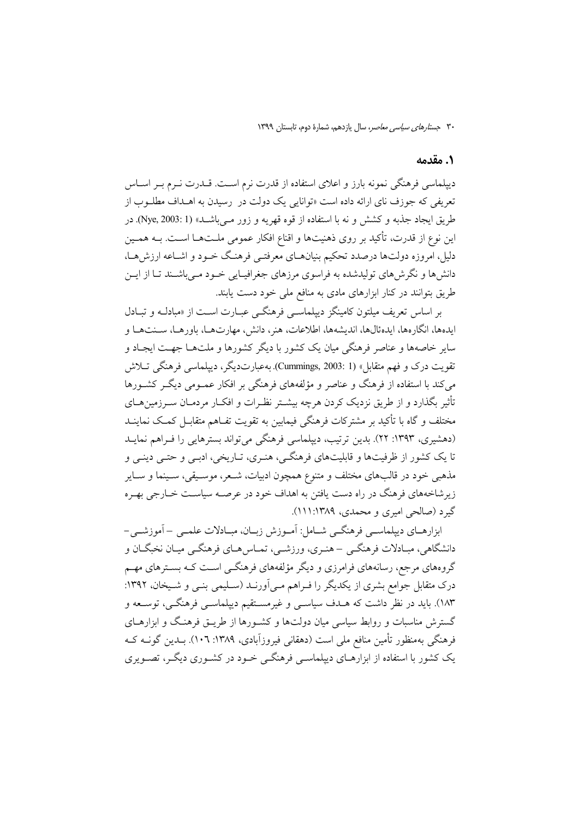#### 1. مقدمه

دیپلماسی فرهنگی نمونه بارز و اعلای استفاده از قدرت نرم است. قــدرت نــرم بــر اســاس تعریفی که جوزف نای ارائه داده است «توانایی یک دولت در رسیدن به اهــداف مطلــوب از طریق ایجاد جذبه و کشش و نه با استفاده از قوه قهریه و زور مبے باشــد» (Nye, 2003: 1). در این نوع از قدرت، تأکید بر روی ذهنیتها و اقناع افکار عمومی ملـتهـا اسـت. بــه همـین دلیل، امروزه دولتها درصدد تحکیم بنیانهـای معرفتـی فرهنـگ خـود و اشـاعه ارزش،هـا، دانشها و نگرش های تولیدشده به فراسوی مرزهای جغرافیـایی خـود مـی باشـند تـا از ایــن طریق بتوانند در کنار ابزارهای مادی به منافع ملی خود دست یابند.

بر اساس تعریف میلتون کامینگز دیپلماسبی فرهنگ<sub>جی</sub> عبـارت اسـت از «مبادلــه و تبــادل ابدهها، انگارهها، ابدهئالها، اندیشهها، اطلاعات، هنر، دانش، مهارتهها، باورهـا، سـنتهـا و سایر خاصهها و عناصر فرهنگی میان یک کشور با دیگر کشورها و ملتهـا جهـت ایجـاد و تقويت درک و فهم متقابل» (Cummings, 2003: 1). بهعبارتديگر، دييلماسي فرهنگي تــلاش می کند با استفاده از فرهنگ و عناصر و مؤلفههای فرهنگی بر افکار عمــومی دیگــر کشــورها تأثیر بگذارد و از طریق نزدیک کردن هرچه بیشــتر نظـرات و افکــار مردمــان ســرزمینهــای مختلف و گاه با تأکید بر مشترکات فرهنگی فیمابین به تقویت تفـاهـم متقابـل کمـک نماینــد (دهشیری، ۱۳۹۳: ۲۲). بدین ترتیب، دیپلماسی فرهنگی میتواند بسترهایی را فـراهم نمایـد تا یک کشور از ظرفیتها و قابلیتهای فرهنگـی، هنـری، تـاریخی، ادبـی و حتـی دینـی و مذهبي خود در قالبهاي مختلف و متنوع همچون ادبيات، شـعر، موسـيقى، سـينما و سـاير زیر شاخههای فرهنگ در راه دست یافتن به اهداف خود در عرصـه سیاسـت خــارجی بهـره گیرد (صالحی امیری و محمدی، ۱۲۸۹:۱۲۱۹).

ابزارهـاي ديپلماســي فرهنگــي شــامل: اَمــوزش زبــان، مبــادلات علمــي – اَموزشــي-دانشگاهی، مبـادلات فرهنگــي –هنـري، ورزشــي، تمــاس هــاي فرهنگــي ميــان نخبگــان و گروههای مرجع، رسانههای فرامرزی و دیگر مؤلفههای فرهنگــی اســت کــه بســترهای مهــم درک متقابل جوامع بشری از یکدیگر را فـراهم مـی|ورنـد (سـلیمی بنـی و شـیخان، ۱۳۹۲: ۱۸۳). باید در نظر داشت که هــدف سیاســی و غیرمســتقیم دیپلماســی فرهنگــی، توســعه و گسترش مناسبات و روابط سیاسی میان دولتها و کشـورها از طریـق فرهنـگ و ابزارهـای فرهنگی بهمنظور تأمین منافع ملی است (دهقانی فیروزآبادی، ۱۳۸۹: ۱۰۲). بــدین گونــه کــه یک کشور با استفاده از ابزارهــای دیپلماســی فرهنگــی خــود در کشــوری دیگــر، تصــویری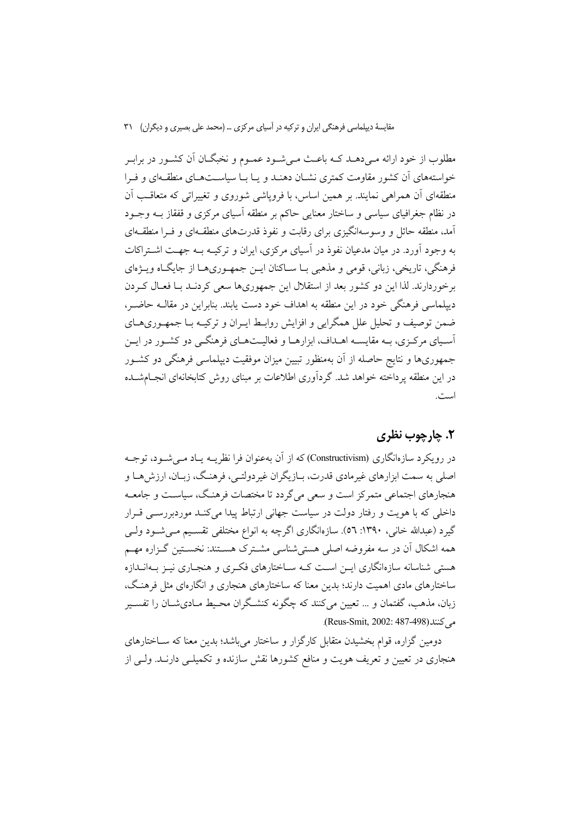مطلوب از خود ارائه مـی۵هــد کــه باعــث مـیشــود عمــوم و نخبگــان آن کشــور در برابـر خواستههای آن کشور مقاومت کمتری نشـان دهنـد و پـا بـا سیاسـتهـای منطقـهای و فـرا منطقهای آن همراهی نمایند. بر همین اساس، با فرویاشی شوروی و تغییراتی که متعاقـب آن در نظام جغرافیای سیاسی و ساختار معنایی حاکم بر منطقه آسیای مرکزی و قفقاز بــه وجــود آمد، منطقه حائل و وسوسهانگیزی برای رقابت و نفوذ قدرتهای منطقـهای و فـرا منطقـهای به وجود آورد. در میان مدعیان نفوذ در آسیای مرکزی، ایران و ترکیــه بــه جهــت اشــتراکات فرهنگي، تاريخي، زباني، قومي و مذهبي بــا ســاكنان ايــن جمهــوريهــا از جايگــاه ويــژهاي برخوردارند. لذا این دو کشور بعد از استقلال این جمهوریها سعی کردنـد بــا فعــال کــردن دیپلماسی فرهنگی خود در این منطقه به اهداف خود دست پابند. بنابراین در مقالــه حاضــر، ضمن توصیف و تحلیل علل همگرایی و افزایش روابـط ایــران و ترکیــه بــا جمهــوریهــای آسـیای مرکـزی، بـه مقایسـه اهـداف، ابزارهـا و فعالیـتهـای فرهنگـی دو کشـور در ایـن جمهوریها و نتایج حاصله از آن بهمنظور تبیین میزان موفقیت دیپلماسی فرهنگی دو کشـور در این منطقه یرداخته خواهد شد. گردآوری اطلاعات بر مبنای روش کتابخانهای انجـامشــده است.

### ٢. ڇارچوب نظري

در رویکرد سازمانگاری (Constructivism) که از آن بهعنوان فرا نظریــه پــاد مــی شــود، توجــه اصلي به سمت ابزارهاي غيرمادي قدرت، بــازيگران غير دولتــي، فرهنـگ، زيــان، ارزش هــا و هنجارهای اجتماعی متمرکز است و سعی می گردد تا مختصات فرهنگ، سیاست و جامعـه داخلی که با هویت و رفتار دولت در سیاست جهانی ارتباط پیدا میکنـد موردبررســی قــرار گیرد (عبدالله خانی، ۱۳۹۰: ٥٦). سازهانگاری اگرچه به انواع مختلفی تقسـیم مـی شـود ولـی همه اشکال آن در سه مفروضه اصلی هستی شناسی مشـترک هسـتند: نخسـتین گـزاره مهـم هستی شناسانه سازهانگاری ایــن اسـت کـه ســاختارهای فکــری و هنجــاری نیــز بــهانــدازه ساختارهای مادی اهمیت دارند؛ بدین معنا که ساختارهای هنجاری و انگارهای مثل فرهنگ، زبان، مذهب، گفتمان و … تعیین می کنند که چگونه کنشگران محیط مـادیشــان را تفســیر می کنند (Reus-Smit, 2002: 487-498).

دومین گزاره، قوام بخشیدن متقابل کارگزار و ساختار میباشد؛ بدین معنا که سـاختارهای هنجاری در تعیین و تعریف هویت و منافع کشورها نقش سازنده و تکمیلــی دارنــد. ولــی از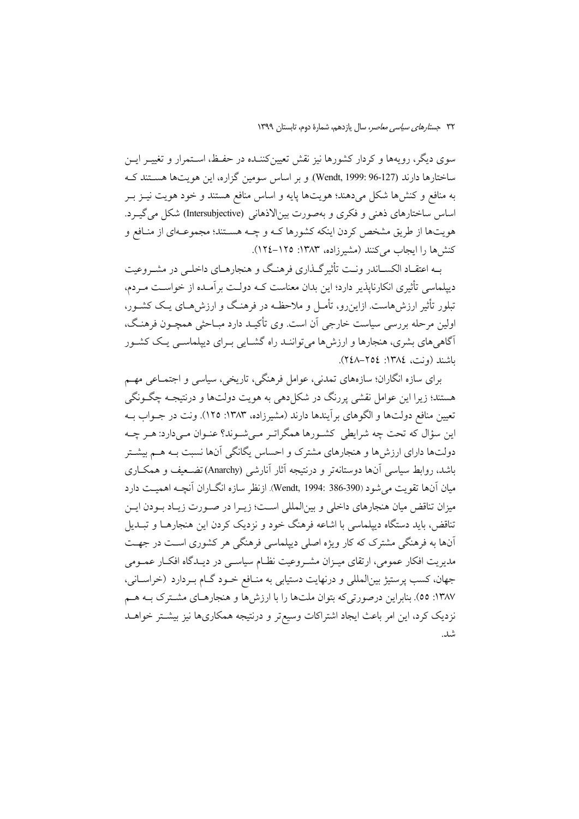سوی دیگر، رویهها و کردار کشورها نیز نقش تعیینکننـده در حفـظ، اسـتمرار و تغییــر ایــن ساختارها دارند (Wendt, 1999: 96-127). و بر اساس سومین گزاره، این هویتها هستند ک به منافع و کنشها شکل میدهند؛ هویتها پایه و اساس منافع هستند و خود هویت نیـز بـر اساس ساختارهای ذهنی و فکری و بهصورت بینالاذهانی (Intersubjective) شکل می گیـرد. هويتها از طريق مشخص كردن اينكه كشورها كــه و چــه هســتند؛ مجموعــهاي از منــافع و كنش ها را ايجاب مي كنند (مشير زاده، ١٣٨٣: ١٢٥-١٢٤).

بـه اعتقــاد الکســاندر ونــت تأثیرگــذاری فرهنـگ و هنجارهــای داخلــی در مشــروعیت دیپلماسی تأثیری انکارنایذیر دارد؛ این بدان معناست کـه دولـت بر آمـده از خواسـت مـردم، تبلور تأثیر ارزش هاست. ازاین رو، تأمـل و ملاحظـه در فرهنـگ و ارزش هـای یـک کشــور، اولین مرحله بررسی سیاست خارجی آن است. وی تأکیـد دارد مبـاحثی همچــون فرهنـگ، آگاهی های بشری، هنجارها و ارزش ها می تواننـد راه گشــایی بــرای دیپلماســی یــک کشــور باشند (ونت، ١٣٨٤: ٢٥٤–٢٤٨).

برای سازه انگاران؛ سازههای تمدنی، عوامل فرهنگی، تاریخی، سیاسی و اجتمـاعی مهـم هستند؛ زیرا این عوامل نقشی پررنگ در شکل(هی به هویت دولتها و درنتیجـه چگـونگی تعیین منافع دولتها و الگوهای برآیندها دارند (مشیرزاده، ۱۳۸۳: ۱۲۵). ونت در جــواب بــه این سؤال که تحت چه شرایطی کشـورها همگراتـر مـیشـوند؟ عنـوان مـیدارد: هـر چـه دولتها دارای ارزش ها و هنجارهای مشترک و احساس یگانگی آنها نسبت بـه هـم بیشـتر باشد، روابط سیاسی آنها دوستانهتر و درنتیجه آثار آنارشی (Anarchy)تضـعیف و همکــاری ميان آنها تقويت مي شود (Wendt, 1994: 386-390). ازنظر سازه انگــاران آنچــه اهميــت دارد میزان تناقض میان هنجارهای داخلی و بینالمللی است؛ زیـرا در صـورت زیـاد بـودن ایـن تناقض، باید دستگاه دیپلماسی با اشاعه فرهنگ خود و نزدیک کردن این هنجارهـا و تبــدیل آنها به فرهنگی مشترک که کار ویژه اصلی دیپلماسی فرهنگی هر کشوری است در جهت مدیریت افکار عمومی، ارتقای میـزان مشـروعیت نظـام سیاسـی در دیـدگاه افکـار عمـومی جهان، کسب پرستیژ بین|لمللی و درنهایت دستیابی به منـافع خـود گـام بـردارد (خراسـانی، ۱۳۸۷: ٥٥). بنابراین درصورتیکه بتوان ملتها را با ارزشها و هنجارهـای مشـترک بـه هـم نزدیک کرد، این امر باعث ایجاد اشتراکات وسیع تر و درنتیجه همکاریها نیز بیشــتر خواهــد .<br>شد.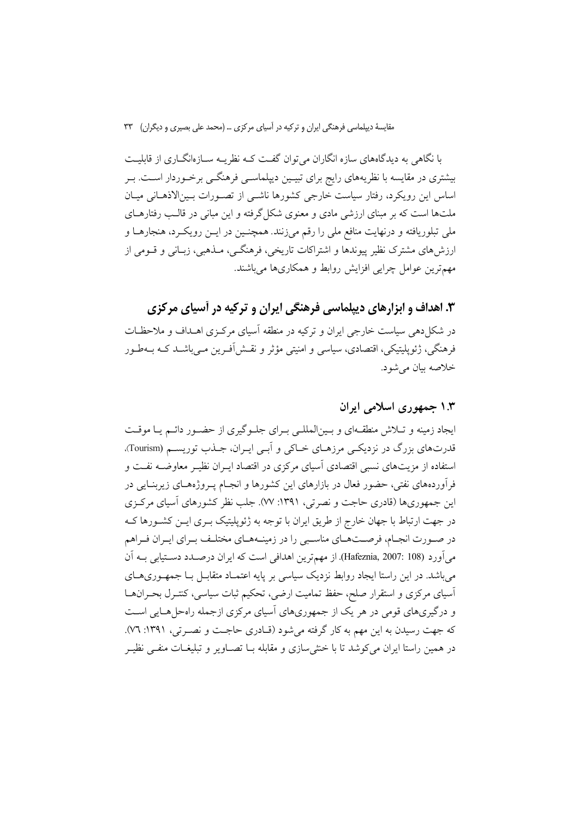با نگاهی به دیدگاههای سازه انگاران می توان گفت کـه نظریــه ســازهانگــاری از قابلیــت بیشتری در مقایسه با نظریههای رایج برای تبیـین دیپلماسـی فرهنگـی برخـوردار اسـت. بـر اساس این رویکرد، رفتار سیاست خارجی کشورها ناشمی از تصـورات بـین|لاذهــانی میــان ملتها است که بر مبنای ارزشی مادی و معنوی شکل گرفته و این مبانی در قالـب رفتارهــای ملی تبلوریافته و درنهایت منافع ملی را رقم میزنند. همچنـین در ایــن رویکــرد، هنجارهــا و ارزش۵های مشترک نظیر پیوندها و اشتراکات تاریخی، فرهنگـی، مــذهبی، زبــانی و قــومی از مهمترین عوامل چرایی افزایش روابط و همکاریها می باشند.

۳. اهداف و ابزارهای دیپلماسی فرهنگی ایران و ترکیه در آسیای مرکزی

در شکل(دهی سیاست خارجی ایران و ترکیه در منطقه آسیای مرکـزی اهـداف و ملاحظـات فرهنگی، ژئوپلیتیکی، اقتصادی، سیاسی و امنیتی مؤثر و نقــش[فــرین مــیباشــد کــه بــهطــور خلاصه بيان مي شود.

### ۱.۳ جمهوری اسلامی ایران

ایجاد زمینه و تـلاش منطقـهای و بـینالمللـی بـرای جلـوگیری از حضـور دائـم یـا موقـت قدرتهاي بزرگ در نزديكي مرزهـاي خـاكي و اَبـي ايـران، جـذب توريسـم (Tourism). استفاده از مزیتهای نسبی اقتصادی آسیای مرکزی در اقتصاد ایـران نظیـر معاوضــه نفــت و فرآوردههای نفتی، حضور فعال در بازارهای این کشورها و انجـام پــروژههـای زیربنــایی در این جمهوریها (قادری حاجت و نصرتی، ۱۳۹۱: ۷۷). جلب نظر کشورهای آسیای مرکزی در جهت ارتباط با جهان خارج از طریق ایران با توجه به ژئوپلیتیک بـری ایــن کشــورها کــه در صـورت انجـام، فرصـتهـاي مناسـبي را در زمينــههـاي مختلـف بـراي ايـران فـراهم مي آورد (Hafeznia, 2007: 108). از مهمترين اهدافي است كه ايران درصـدد دسـتيابي بــه اَن میباشد. در این راستا ایجاد روابط نزدیک سیاسی بر پایه اعتمـاد متقابـل بـا جمهـوریهـای آسیای مرکزی و استقرار صلح، حفظ تمامیت ارضی، تحکیم ثبات سیاسی، کنتـرل بحـرانهـا و درگیریهای قومی در هر یک از جمهوریهای آسیای مرکزی ازجمله راهحل هـایی اسـت که جهت رسیدن به این مهم به کار گرفته میشود (قـادری حاجـت و نصـرتی، ۱۳۹۱: ۷٦). در همین راستا ایران می کوشد تا با خنثی سازی و مقابله بــا تصــاویر و تبلیغــات منفــی نظیــر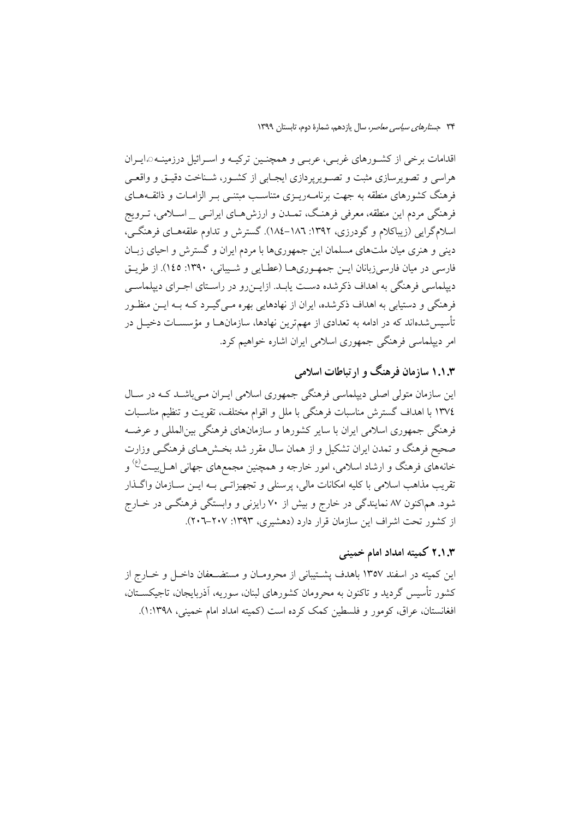اقدامات برخی از کشورهای غربے، عربے و همچنین ترکیـه و اسـرائیل درزمینـه هایـران هراسی و تصویرسازی مثبت و تصـویریردازی ایجـابی از کشـور، شـناخت دقیـق و واقعـی فرهنگ کشورهای منطقه به جهت برنامـهریــزی متناســب مبتنــی بــر الزامــات و ذائقــههــای فرهنگی مردم این منطقه، معرفی فرهنگ، تمـدن و ارزش۵هـای ایرانــی \_ اسـلامی، تــرویج اسلامگرایی (زیباکلام و گودرزی، ۱۳۹۲: ۱۸۲–۱۸٤). گسترش و تداوم علقههـای فرهنگـی، دینی و هنری میان ملتهای مسلمان این جمهوریها با مردم ایران و گسترش و احیای زبـان فارسی در میان فارسیزبانان ایــن جمهـوریهــا (عطــایی و شــیبانی، ۱۳۹۰: ۱٤٥). از طریــق دیپلماسی فرهنگی به اهداف ذکرشده دست یابـد. ازایــنرو در راسـتای اجـرای دیپلماســی فرهنگی و دستیابی به اهداف ذکرشده، ایران از نهادهایی بهره مـی&ـرد کــه بــه ایــن منظـور تأسیسشدهاند که در ادامه به تعدادی از مهمترین نهادها، سازمانهــا و مؤسســات دخیــل در امر دیپلماسی فرهنگی جمهوری اسلامی ایران اشاره خواهیم کرد.

## ۱.۱.۳ سازمان فرهنگ و ارتباطات اسلامی

این سازمان متولی اصلی دیپلماسی فرهنگی جمهوری اسلامی ایـران مـی باشـد کـه در سـال ١٣٧٤ با اهداف گسترش مناسبات فرهنگي با ملل و اقوام مختلف، تقويت و تنظيم مناسـبات فرهنگی جمهوری اسلامی ایران با سایر کشورها و سازمانهای فرهنگی بین|لمللی و عرضـه صحیح فرهنگ و تمدن ایران تشکیل و از همان سال مقرر شد بخـش۵هـای فرهنگــی وزارت خانههای فرهنگ و ارشاد اسلامی، امور خارجه و همچنین مجمعهای جهانی اهــل بیــت<sup>(ع)</sup> و تقريب مذاهب اسلامي با كليه امكانات مالي، پرسنلي و تجهيزاتــي بــه ايــن ســازمان واگــذار شود. هماکنون ۸۷ نمایندگی در خارج و بیش از ۷۰ رایزنی و وابستگی فرهنگـی در خــارج از کشور تحت اشراف این سازمان قرار دارد (دهشیری، ۱۳۹۳: ۲۰۷–۲۰۲).

## ۲.۱.۳ کمیته امداد امام خمینی

این کمیته در اسفند ۱۳۵۷ باهدف پشتیبانی از محرومـان و مستضـعفان داخـل و خـارج از کشور تأسیس گردید و تاکنون به محرومان کشورهای لبنان، سوریه، آذربایجان، تاجیکســتان، افغانستان، عراق، کومور و فلسطین کمک کرده است (کمیته امداد امام خمینی، ۱۳۹۸:۱).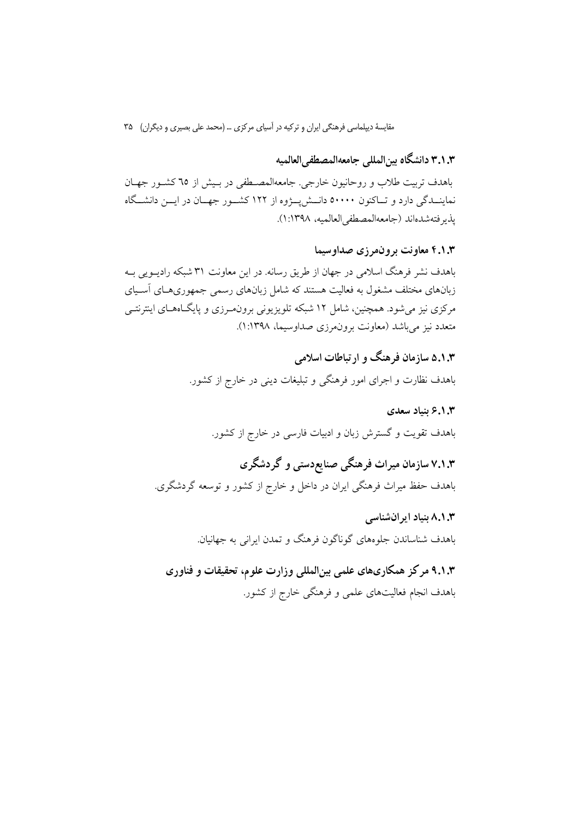٣.١.٣ دانشگاه بين|لمللي جامعه|لمصطفى|لعالميه

باهدف تربیت طلاب و روحانیون خارجی. جامعهالمصطفی در بسش از ٦٥ کشور جهـان نماینــدگی دارد و تــاکنون ٥٠٠٠٠ دانــش پــژوه از ١٢٢ کشــور جهــان در ايــن دانشــگاه يذير فتهشدهاند (جامعهالمصطفى العالميه، ١٣٩٨:١).

۴.۱.۳ معاونت برون مرزى صداوسيما

باهدف نشر فرهنگ اسلامی در جهان از طریق رسانه. در این معاونت ۳۱ شبکه رادیــویی بــه زبانهای مختلف مشغول به فعالیت هستند که شامل زبانهای رسمی جمهوریهـای آسـیای مرکزی نیز می شود. همچنین، شامل ۱۲ شبکه تلویزیونی برون،مرزی و پایگاههـای اینترنتـی متعدد نيز مي باشد (معاونت برون مرزي صداوسيما، ١:١٣٩٨).

> ۵.۱.۳ سازمان فرهنگ و ارتباطات اسلامی باهدف نظارت و اجرای امور فرهنگی و تبلیغات دینی در خارج از کشور.

۶.۱.۳ ىنىاد سعدى باهدف تقویت و گسترش زبان و ادبیات فارسی در خارج از کشور.

۷.۱.۳ سازمان میراث فرهنگی صنایع دستی و گردشگری باهدف حفظ میراث فرهنگی ایران در داخل و خارج از کشور و توسعه گردشگری.

> ۸.۱.۳ بنیاد ایرانشناسی باهدف شناساندن جلوههای گوناگون فرهنگ و تمدن ایرانی به جهانیان.

۹.۱.۳ مرکز همکاریهای علمی بینالمللی وزارت علوم، تحقیقات و فناوری باهدف انجام فعالیتهای علمی و فرهنگی خارج از کشور.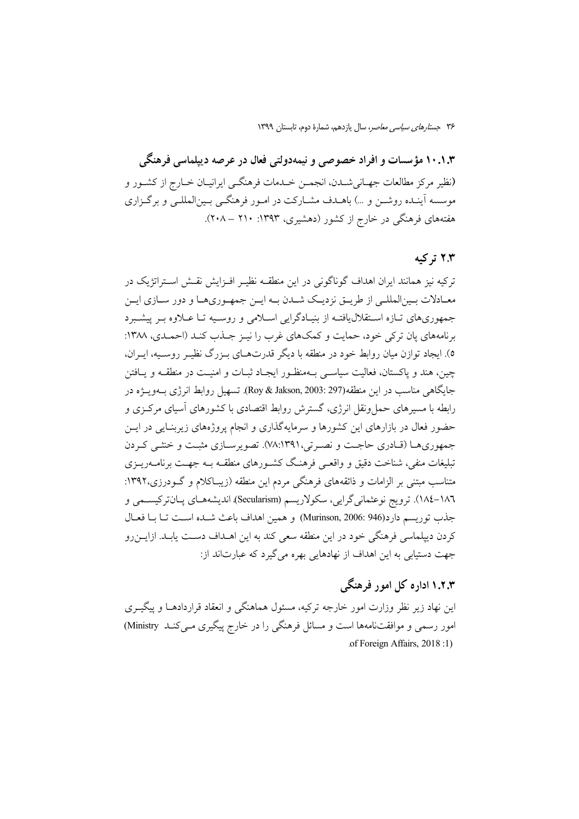۱۰.۱.۳ مؤسسات و افراد خصوصی و نیمهدولتی فعال در عرصه دیپلماسی فرهنگی (نظير مركز مطالعات جهـاني شــدن، انجمــن خــدمات فرهنگــي ايرانيــان خــارج از كشــور و موسسه آینـده روشــن و …) باهــدف مشــارکت در امــور فرهنگــی بــینالمللــی و برگــزاری هفتههای فرهنگی در خارج از کشور (دهشیری، ۱۳۹۳: ۲۱۰ – ۲۰۸).

### ۲.۳ ترکیه

ترکیه نیز همانند ایران اهداف گوناگونی در این منطقــه نظیــر افــزایش نقــش اســتراتژیک در معـادلات بـينالمللـي از طريــق نزديـك شــدن بــه ايــن جمهـوريهـا و دور ســازي ايــن جمهوریهای تبازه استقلال یافتیه از بنیبادگرایی اسپلامی و روسیه تبا عبلاوه بسر پیشیبرد برنامههای پان ترکی خود، حمایت و کمکهای غرب را نیـز جـذب کنـد (احمـدی، ۱۳۸۸: ٥). ایجاد توازن میان روابط خود در منطقه با دیگر قدرتهـای بـزرگ نظیـر روسـیه، ایـران، چین، هند و پاکستان، فعالیت سیاسـی بــهمنظـور ایجـاد ثبــات و امنیــت در منطقــه و یــافتن جايگاهي مناسب در اين منطقه(297 :Roy & Jakson, 2003). تسهيل روابط انرژي بــهويـــژه در رابطه با مسیرهای حمل ونقل انرژی، گسترش روابط اقتصادی با کشورهای آسیای مرکـزی و حضور فعال در بازارهای این کشورها و سرمایهگذاری و انجام پروژههای زیربنـایی در ایــن جمهوري هـا (قـادري حاجـت و نصـرتي،١٣٩١٪٧٨). تصويرسـازي مثبـت و خنثـي كـردن تبلیغات منفی، شناخت دقیق و واقعـی فرهنـگ کشـورهای منطقـه بـه جهـت برنامــهریــزی متناسب مبتنی بر الزامات و ذائقههای فرهنگی مردم این منطقه (زیبـاکلام و گــودرزی،۱۳۹۲: ١٨٦–١٨٤). ترويج نوعثماني گرايي، سكولاريسم (Secularism)، انديشههـاي پـانتركيسـمي و جذب توريسم دارد(946 :Murinson, 2006) و همين اهداف باعث شـده اسـت تـا بـا فعـال کردن دیپلماسی فرهنگی خود در این منطقه سعی کند به این اهــداف دســت پابــد. ازایــن٫رو جهت دستيابي به اين اهداف از نهادهايي بهره مي گيرد كه عبارتاند از:

## ۱.۲.۳ اداره کل امور فرهنگی

این نهاد زیر نظر وزارت امور خارجه ترکیه، مسئول هماهنگی و انعقاد قراردادهـا و پیگیــری امور رسمی و موافقتنامهها است و مسائل فرهنگی را در خارج پیگیری مـی کنـد Ministry) of Foreign Affairs, 2018:1)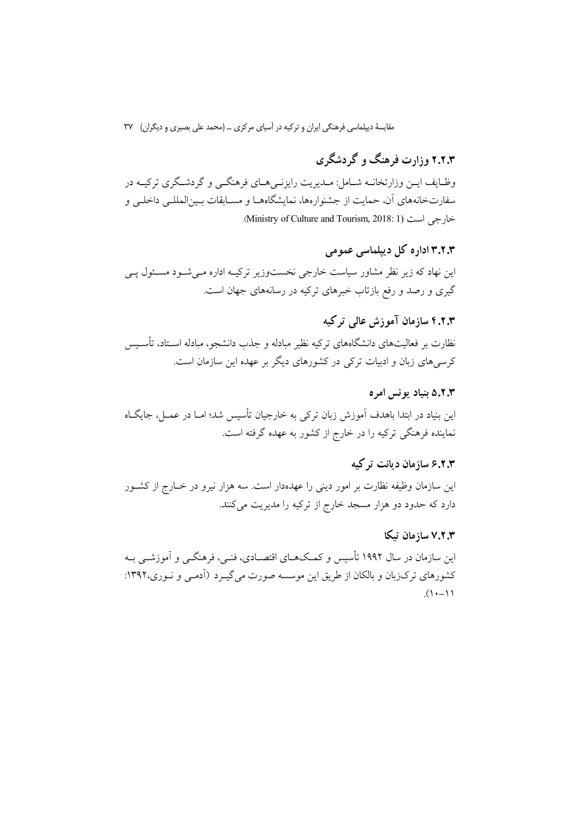# ۲.۲.۳ وزارت فرهنگ و گردشگری

وظـایف ایــن وزارتخانــه شــامل: مــدیریت رایزنــی هــای فرهنگــی و گردشــگری ترکیــه در سفارتخانههای آن، حمایت از جشنوارهها، نمایشگاههـا و مســابقات بــین|لمللــی داخلــی و خارجي است (Ministry of Culture and Tourism, 2018: 1).

# ۳.۲.۳ اداره کل دیپلماسی عمومی

این نهاد که زیر نظر مشاور سیاست خارجی نخستوزیر ترکیـه اداره مـی شـود مسـئول یـی گیری و رصد و رفع بازتاب خبرهای ترکیه در رسانههای جهان است.

## ۴.۲.۳ سازمان آموزش عالی ترکیه

نظارت بر فعالیتهای دانشگاههای ترکیه نظیر مبادله و جذب دانشجو، مبادله اسـتاد، تأســیس کرسی های زبان و ادبیات ترکی در کشورهای دیگر بر عهده این سازمان است.

#### ۵.۲.۳ بنیاد یونس امره

این بنیاد در ابتدا باهدف آموزش زبان ترکی به خارجیان تأسیس شد؛ امـا در عمـل، جایگــاه نماینده فرهنگی ترکیه را در خارج از کشور به عهده گرفته است.

## ۶.۲.۳ سازمان دیانت ترکیه

این سازمان وظیفه نظارت بر امور دینی را عهدهدار است. سه هزار نیرو در خــارج از کشــور دارد که حدود دو هزار مسجد خارج از ترکیه را مدیریت میکنند.

### ۷.۲.۳ سازمان تىكا

این سازمان در سال ۱۹۹۲ تأسیس و کمکهـای اقتصـادی، فنـی، فرهنگــی و آموزشــی بـه کشورهای ترکزبان و بالکان از طریق این موسسه صورت میگیرد (آدمـی و نـوری،۱۳۹۲:  $(1 - 1)$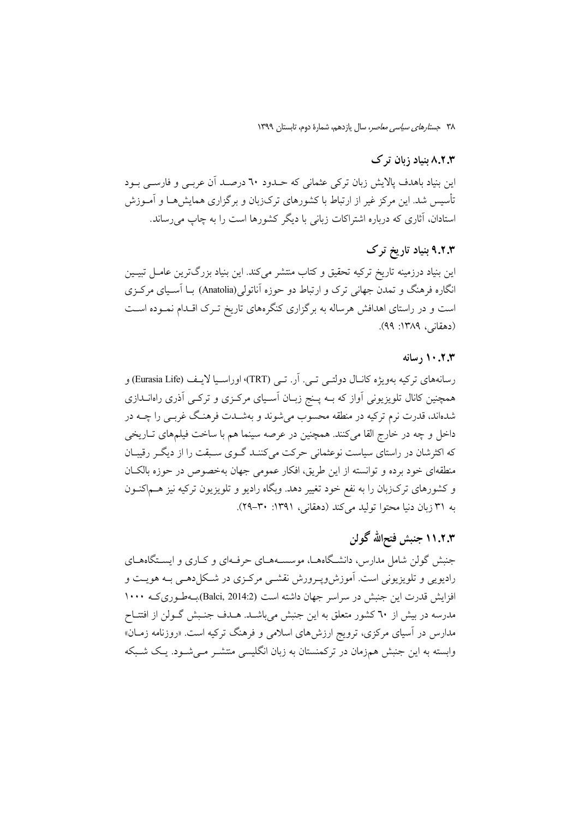## ۸.۲.۳ بنیاد زبان ترک

این بنیاد باهدف پالایش زبان ترکی عثمانی که حـدود ٦٠ درصـد آن عربـی و فارســی بــود تأسیس شد. این مرکز غیر از ارتباط با کشورهای ترک(بان و برگزاری همایشهــا و آمــوزش استادان، آثاری که درباره اشتراکات زبانی با دیگر کشورها است را به چاپ می رساند.

## ۹.۲.۳ بنیاد تاریخ ترک

این بنیاد درزمینه تاریخ ترکیه تحقیق و کتاب منتشر میکند. این بنیاد بزرگترین عامـل تبیـین انگاره فرهنگ و تمدن جهانی ترک و ارتباط دو حوزه آناتولی(Anatolia) بــا آســیای مرکـزی است و در راستای اهدافش هرساله به برگزاری کنگرههای تاریخ تـرک اقـدام نمـوده اسـت (دهقانی، ۱۳۸۹: ۹۹).

#### 

رسانههای ترکیه بهویژه کانـال دولتــی تــی. اَر. تــی (TRT)، اوراســیا لایــف (Eurasia Life) و همچنین کانال تلویزیونی آواز که بــه پــنج زبــان آســیای مرکــزی و ترکــی آذری راهانــدازی شدهاند، قدرت نرم ترکیه در منطقه محسوب میشوند و بهشـدت فرهنـگ غربـی را چــه در داخل و چه در خارج القا میکنند. همچنین در عرصه سینما هم با ساخت فیلمهای تــاریخی که اکثرشان در راستای سیاست نوعثمانی حرکت میکننـد گـوی سـبقت را از دیگـر رقیبـان منطقهای خود برده و توانسته از این طریق، افکار عمومی جهان بهخصوص در حوزه بالک**ان** و کشورهای ترکزبان را به نفع خود تغییر دهد. وبگاه رادیو و تلویزیون ترکیه نیز هــماکنــون به ۳۱ زبان دنیا محتوا تولید میکند (دهقانی، ۱۳۹۱: ۳۰-۲۹).

# ۱۱.۲.۳ جنبش فتحالله گولن

جنبش گولن شامل مدارس، دانشگاههـا، موسسـههـای حرفـهای و کـاری و ایسـتگاههـای رادیویی و تلویزیونی است. آموزش٫پـرورش نقشـی مرکـزی در شـکلدهـی بـه هویــت و افزایش قدرت این جنبش در سراسر جهان داشته است (Balci, 2014:2)بهطوری که ۱۰۰۰ مدرسه در بیش از ٦٠ کشور متعلق به این جنبش میباشـد. هـدف جنـبش گـولن از افتتـاح مدارس در آسیای مرکزی، ترویج ارزشهای اسلامی و فرهنگ ترکیه است. «روزنامه زمـان» وابسته به این جنبش همزمان در ترکمنستان به زبان انگلیسی منتشـر مـیشـود. یـک شـبکه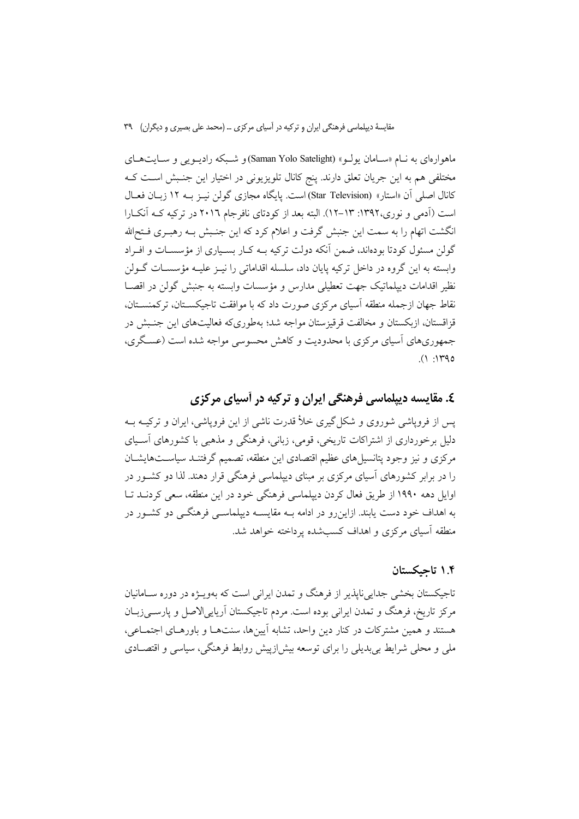ماهوارهای به نبام «سیامان یولیو» (Saman Yolo Satelight)و شبکه رادیبویی و سیایتهای مختلفی هم به این جریان تعلق دارند. پنج کانال تلویزیونی در اختیار این جنـبش اسـت کـه كانال اصلي أن «استار» (Star Television) است. يايگاه مجازي گولن نيـز بــه ١٢ زبــان فعــال است (اَدمی و نوری،۱۳۹۲: ۱۳–۱۲). البته بعد از کودتای نافرجام ۲۰۱٦ در ترکیه کـه اَنکـارا انگشت اتهام را به سمت این جنبش گرفت و اعلام کرد که این جنـبش بـه رهبـری فــتحالله گولن مسئول کودتا بودهاند، ضمن آنکه دولت ترکیه بــه کــار بســیاری از مؤسســات و افــراد وابسته به این گروه در داخل ترکیه پایان داد، سلسله اقداماتی را نیـز علیـه مؤسسـات گــولن نظير اقدامات دييلماتيک جهت تعطيلي مدارس و مؤسسات وابسته به جنبش گولن در اقصـا نقاط جهان ازجمله منطقه آسیای مرکزی صورت داد که با موافقت تاجیکســتان، ترکمنســتان، قزاقستان، ازبکستان و مخالفت قرقیزستان مواجه شد؛ بهطوریکه فعالیتهای این جنـبش در جمهوریهای آسیای مرکزی با محدودیت و کاهش محسوسی مواجه شده است (عسگری،  $(1.140$ 

## ٤. مقایسه دیپلماسی فرهنگی ایران و ترکیه در آسیای مرکزی

یس از فرویاشی شوروی و شکل گیری خلأ قدرت ناشی از این فرویاشی، ایران و ترکیبه ب دلیل برخورداری از اشتراکات تاریخی، قومی، زبانی، فرهنگی و مذهبی با کشورهای آسـیای مرکزی و نیز وجود پتانسیل های عظیم اقتصادی این منطقه، تصمیم گرفتنـد سیاسـتهایشــان را در برابر کشورهای آسیای مرکزی بر مبنای دیپلماسی فرهنگی قرار دهند. لذا دو کشـور در اوایل دهه ۱۹۹۰ از طریق فعال کردن دیپلماسی فرهنگی خود در این منطقه، سعی کردنــد تــا به اهداف خود دست یابند. ازاین٫رو در ادامه بــه مقایســه دیپلماســی فرهنگــی دو کشــور در منطقه آسیای مرکزی و اهداف کسبشده یرداخته خواهد شد.

#### ۱.۴ تاحكستان

تاجیکستان بخشی جدایی ناپذیر از فرهنگ و تمدن ایرانی است که بهویـژه در دوره سـامانیان مرکز تاریخ، فرهنگ و تمدن ایرانی بوده است. مردم تاجیکستان آریاییالاصل و پارسےزبان هستند و همین مشترکات در کنار دین واحد، تشابه آیینها، سنتهـا و باورهـای اجتمـاعی، ملی و محلی شرایط بی بدیلی را برای توسعه بیش(زییش روابط فرهنگی، سیاسی و اقتصــادی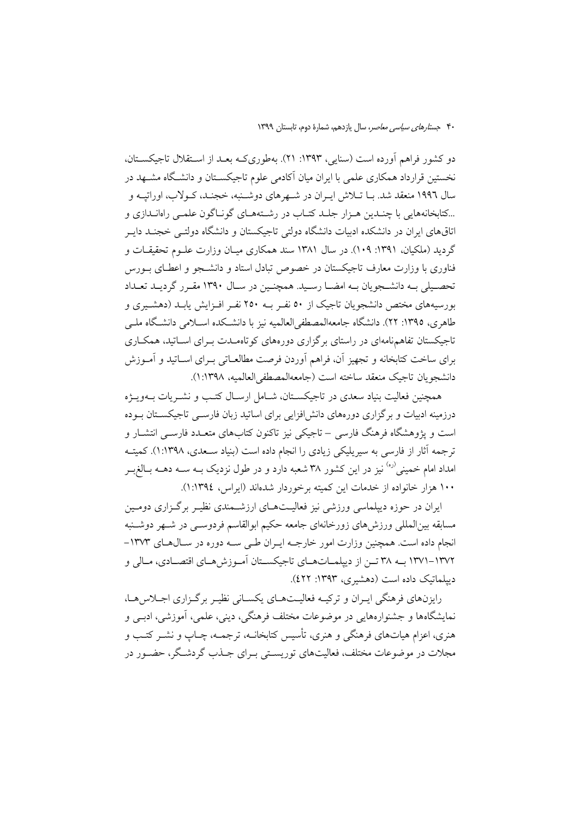دو کشور فراهم آورده است (سنایی، ۱۳۹۳: ۲۱). بهطوریکه بعـد از اسـتقلال تاجیکسـتان، نخستین قرارداد همکاری علمی با ایران میان آکادمی علوم تاجیکســتان و دانشــگاه مشــهد در سال ۱۹۹۶ منعقد شد. بــا تــلاش ايــران در شــهرهاي دوشــنبه، خجنــد، كــولاب، اوراتيــه و ...کتابخانههایی با چنـدین هـزار جلـد کتـاب در رشـتههـای گونـاگون علمـی راهانـدازی و اتاقهای ایران در دانشکده ادبیات دانشگاه دولتی تاجیکستان و دانشگاه دولتبی خجنـد دایـر گردید (ملکیان، ۱۳۹۱: ۱۰۹). در سال ۱۳۸۱ سند همکاری میـان وزارت علـوم تحقیقـات و فناوری با وزارت معارف تاجیکستان در خصوص تبادل استاد و دانشـجو و اعطـای بـورس تحصيلي بـه دانشـجويان بـه امضــا رسـيد. همچنـين در ســال ۱۳۹۰ مقـرر گرديـد تعــداد بورسیههای مختص دانشجویان تاجیک از ۵۰ نفـر بــه ۲۵۰ نفـر افـزایش یابـد (دهشــیری و طاهری، ١٣٩٥: ٢٢). دانشگاه جامعهالمصطفىالعالميه نيز با دانشـكده اسـلامى دانشـگاه ملـى تاجیکستان تفاهمنامهای در راستای برگزاری دورههای کوتاهمـدت بـرای اسـاتید، همکـاری برای ساخت کتابخانه و تجهیز آن، فراهم آوردن فرصت مطالعـاتی بـرای اســاتید و آمــوزش دانشجويان تاجيك منعقد ساخته است (جامعهالمصطفى العالميه، ١:١٣٩٨).

همچنین فعالیت بنیاد سعدی در تاجیکسـتان، شـامل ارسـال کتـب و نشـریات بــهویــژه درزمینه ادبیات و برگزاری دورههای دانش|فزایی برای اساتید زبان فارسـی تاجیکسـتان بـوده است و یژوهشگاه فرهنگ فارسی – تاجیکی نیز تاکنون کتابهای متعـدد فارسـی انتشـار و ترجمه آثار از فارسی به سیریلیکی زیادی را انجام داده است (بنیاد سـعدی، ۱:۱۳۹۸). کمیتــه امداد امام خمینی<sup>(ره)</sup> نیز در این کشور ۳۸ شعبه دارد و در طول نزدیک بــه ســه دهــه بــالغ<sub>،</sub>بــر ۱۰۰ هزار خانواده از خدمات این کمیته برخوردار شدماند (ایراس، ۱۳۹٤(:۱).

ایران در حوزه دیپلماسی ورزشی نیز فعالیتهای ارزشمندی نظیـر برگـزاری دومـین مسابقه بينالمللي ورزش،اي زورخانهاي جامعه حكيم ابوالقاسم فردوسـبي در شـهر دوشـنبه انجام داده است. همچنین وزارت امور خارجـه ایـران طـی سـه دوره در سـالهـای ١٣٧٣-۱۳۷۲–۱۳۷۱ به ۳۸ تـن از ديپلمـاتهـاي تاجيكسـتان آمـوزشهـاي اقتصـادي، مـالي و دیپلماتیک داده است (دهشیری، ۱۳۹۳: ٤٢٢).

رایزنهای فرهنگی ایـران و ترکیـه فعالیـتهـای یکسـانی نظیـر برگـزاری اجـلاس هـا، نمایشگاهها و جشنوارههایی در موضوعات مختلف فرهنگی، دینی، علمی، آموزشی، ادبــی و هنري، اعزام هياتهاي فرهنگي و هنري، تأسس كتابخانــه، ترجمــه، چــاب و نشــر كتـب و مجلات در موضوعات مختلف، فعالیتهای توریسـتی بــرای جــذب گردشــگر، حضــور در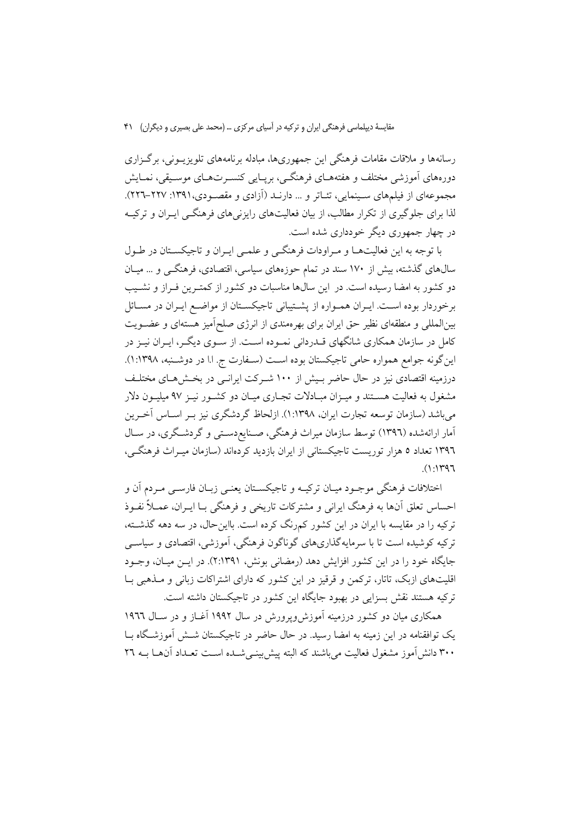رسانهها و ملاقات مقامات فرهنگی این جمهوریها، مبادله برنامههای تلویزیــونی، برگــزاری دورههای آموزشی مختلف و هفتههـای فرهنگــی، بریــایی کنســرتهــای موســیقی، نمــایش مجموعهای از فیلمهای سـینمایی، تئـاتر و … دارنــد (اَزادی و مقصــودی،١٣٩١: ٢٢٧–٢٢٦). لذا برای جلوگیری از تکرار مطالب، از بیان فعالیتهای رایزنی های فرهنگــی ایــران و ترکیــه در چهار جمهوری دیگر خودداری شده است.

با توجه به این فعالیتها و مـراودات فرهنگـی و علمـی ایـران و تاجیکسـتان در طـول سالهای گذشته، بیش از ۱۷۰ سند در تمام حوزههای سیاسی، اقتصادی، فرهنگــی و … میــان دو کشور به امضا رسیده است. در این سالها مناسبات دو کشور از کمتـرین فـراز و نشـیب برخوردار بوده است. ایـران همـواره از پشــتیبانی تاجیکسـتان از مواضـع ایـران در مســائل بینالمللی و منطقهای نظیر حق ایران برای بهرهمندی از انرژی صلحآمیز هستهای و عضـویت کامل در سازمان همکاری شانگهای قــدردانی نمــوده اســت. از ســوی دیگــر، ایــران نیــز در این گونه جوامع همواره حامی تاجیکستان بوده است (سـفارت ج. ا.ا در دوشـنبه، ۱۳۹۸:۱). درزمینه اقتصادی نیز در حال حاضر بـیش از ۱۰۰ شـرکت ایرانـی در بخـش۵مـای مختلـف مشغول به فعالیت هسـتند و میـزان مبـادلات تجـاری میـان دو کشـور نیـز ۹۷ میلیـون دلار میباشد (سازمان توسعه تجارت ایران، ۱۳۹۸:۱). ازلحاظ گردشگری نیز بـر اسـاس آخـرین آمار ارائهشده (۱۳۹٦) توسط سازمان میراث فرهنگی، صـنایعدسـتی و گردشـگری، در سـال ۱۳۹٦ تعداد ٥ هزار توریست تاجیکستانی از ایران بازدید کردهاند (سازمان میـراث فرهنگـی،  $(1:147)$ 

اختلافات فرهنگی موجـود میـان ترکیـه و تاجیکســتان یعنــی زبــان فارســی مــردم آن و احساس تعلق آنها به فرهنگ ایرانی و مشترکات تاریخی و فرهنگی بـا ایــران، عمــلاً نفــوذ ترکیه را در مقایسه با ایران در این کشور کمرنگ کرده است. بااینحال، در سه دهه گذشته، ترکیه کوشیده است تا با سرمایهگذاریهای گوناگون فرهنگی، آموزشی، اقتصادی و سیاسی جایگاه خود را در این کشور افزایش دهد (رمضانی بونش، ۲:۱۳۹۱). در ایـن میـان، وجـود اقلیتهای ازبک، تاتار، ترکمن و قرقیز در این کشور که دارای اشتراکات زبانی و مــذهبی بــا ترکیه هستند نقش بسزایی در بهبود جایگاه این کشور در تاجیکستان داشته است.

همکاری میان دو کشور درزمینه آموزش وپرورش در سال ۱۹۹۲ آغـاز و در سـال ۱۹۹۲ یک توافقنامه در این زمینه به امضا رسید. در حال حاضر در تاجیکستان شیش آموزشگاه سا ۳۰۰ دانش آموز مشغول فعالیت می باشند که البته پیش بینـی شــده اســت تعــداد آنهــا بــه ۲۲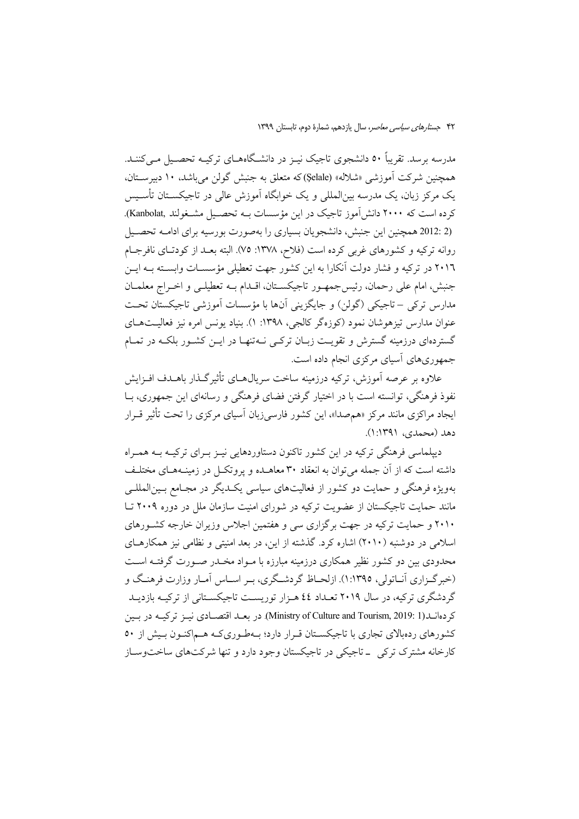مدرسه برسد. تقریباً ٥٠ دانشجوی تاجیک نیـز در دانشـگاههــای ترکیــه تحصــیل مــی کننــد. همچنین شرکت آموزشی «شلاله» (Şelale)که متعلق به جنبش گولن می باشد، ۱۰ دبیرستان، یک مرکز زبان، یک مدرسه بین|لمللی و یک خوابگاه آموزش عالی در تاجیکســتان تأســیس کرده است که ۲۰۰۰ دانش آموز تاجیک در این مؤسسات بـه تحصـیل مشـغولند .Kanbolat). (2 :2012 همچنین این جنبش، دانشجویان بسیاری را بهصورت بورسیه برای ادامـه تحصـیل روانه ترکیه و کشورهای غربی کرده است (فلاح، ۱۳۷۸: ۷۵). البته بعـد از کودتـای نافرجـام ٢٠١٦ در ترکیه و فشار دولت آنکارا به این کشور جهت تعطیلی مؤسسـات وابسـته بــه ایــن جنبش، امام علي رحمان، رئيس جمهـور تاجيكسـتان، اقـدام بــه تعطيلـي و اخــراج معلمــان مدارس ترکي –تاجيکي (گولن) و جايگزيني آنها با مؤسسات آموزشي تاجيکستان تحت عنوان مدارس تیزهوشان نمود (کوزهگر کالجی، ۱۳۹۸: ۱). بنیاد یونس امره نیز فعالیتهـای گستردهای درزمینه گسترش و تقویت زبـان ترکـی نــهتنهـا در ایــن کشــور بلکــه در تمــام جمهوریهای آسیای مرکزی انجام داده است.

علاوه بر عرصه آموزش، ترکیه درزمینه ساخت سریال۵حای تأثیرگذار باهــدف افــزایش نفوذ فرهنگی، توانسته است با در اختیار گرفتن فضای فرهنگی و رسانهای این جمهوری، بــا ایجاد مراکزی مانند مرکز «همصدا»، این کشور فارسیزبان آسیای مرکزی را تحت تأثیر قـرار دهد (محمدی، ۱۳۹۱:۱).

دیپلماسی فرهنگی ترکیه در این کشور تاکنون دستاوردهایی نیـز بـرای ترکیـه بــه همـراه داشته است که از آن جمله می توان به انعقاد ۳۰ معاهـده و پروتکــل در زمینــههــای مختلــف بهویژه فرهنگی و حمایت دو کشور از فعالیتهای سیاسی یک دیگر در مجـامع بـین|لمللـی مانند حمایت تاجیکستان از عضویت ترکیه در شورای امنیت سازمان ملل در دوره ۲۰۰۹ تـا ۲۰۱۰ و حمایت ترکیه در جهت برگزاری سی و هفتمین اجلاس وزیران خارجه کشورهای اسلامی در دوشنبه (۲۰۱۰) اشاره کرد. گذشته از این، در بعد امنیتی و نظامی نیز همکارهـای محدودی بین دو کشور نظیر همکاری درزمینه مبارزه با مـواد مخــدر صـورت گرفتــه اســت (خبرگـزاري آنــاتولي، ١:١٣٩٥). ازلحــاظ گردشــگري، بــر اســاس آمــار وزارت فرهنــگ و گردشگری ترکیه، در سال ۲۰۱۹ تعـداد ٤٤ هـزار توریسـت تاجیکسـتانی از ترکیـه بازدیـد كردهانيد(Ministry of Culture and Tourism, 2019: 1). در بعيد اقتصادي نيـز تركيـه در بيين کشورهای ردهبالای تجاری با تاجیکسـتان قـرار دارد؛ بـهطـوریکـه هـماکنـون بـیش از ٥٠ کارخانه مشترک ترکی \_ تاجیکی در تاجیکستان وجود دارد و تنها شرکتهای ساختوساز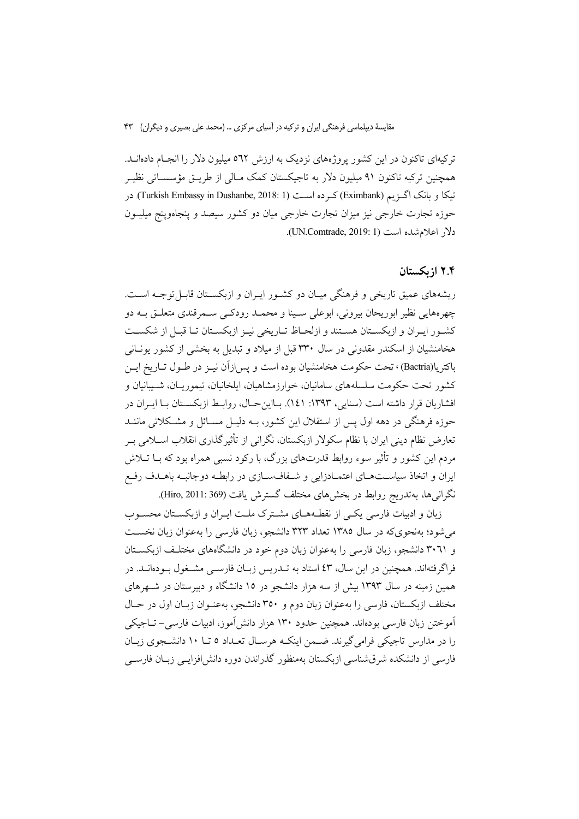ترکیهای تاکنون در این کشور پروژههای نزدیک به ارزش ٥٦٢ میلیون دلار را انجـام دادهانــد. همچنین ترکیه تاکنون ۹۱ میلیون دلار به تاجیکستان کمک مـالی از طریــق مؤسســاتی نظیــر تیکا و بانک اگـزیم (Eximbank) کـرده اسـت (Turkish Embassy in Dushanbe, 2018: 1). در حوزه تجارت خارجی نیز میزان تجارت خارجی میان دو کشور سیصد و پنجاهوپنج میلیــون دلار اعلام شده است (UN.Comtrade, 2019: 1).

#### ۲.۴ از یکستان

ریشههای عمیق تاریخی و فرهنگی میـان دو کشـور ایـران و ازبکسـتان قابـل توجـه اسـت. چهرههایی نظیر ابوریحان بیرونی، ابوعلی سـینا و محمـد رودکـی سـمرقندی متعلـق بــه دو كشور ايران و ازبكستان هستند و ازلحاظ تـاريخي نيـز ازبكسـتان تـا قبـل از شكسـت هخامنشیان از اسکندر مقدونی در سال ۳۳۰ قبل از میلاد و تبدیل به بخشی از کشور یونـانی باكتريا(Bactria) ، تحت حكومت هخامنشيان بوده است و يس!زآن نيـز در طـول تـاريخ ايـن کشور تحت حکومت سلسلههای سامانیان، خوارزمشاهیان، ایلخانیان، تیموریـان، شــیبانیان و افشاريان قرار داشته است (سنايي، ١٣٩٣: ١٤١). بـااين حـال، روابـط ازبكسـتان بـا ايـران در حوزه فرهنگی در دهه اول پس از استقلال این کشور، بــه دلیــل مســائل و مشــکلاتی ماننــد تعارض نظام دینی ایران با نظام سکولار ازبکستان، نگرانی از تأثیرگذاری انقلاب اسـلامی بـر مردم این کشور و تأثیر سوء روابط قدرتهای بزرگ، با رکود نسبی همراه بود که بــا تــلاش ایران و اتخاذ سیاسـتهـای اعتمـادزایی و شـفافسـازی در رابطـه دوجانبـه باهـدف رفـع نگرانیها، بهتدریج روابط در بخشهای مختلف گسترش یافت (Hiro, 2011: 369).

زبان و ادبیات فارسی یکبی از نقطـههـای مشـترک ملـت ایـران و ازبکسـتان محسـوب م شود؛ به نحوی که در سال ۱۳۸۵ تعداد ۳۲۳ دانشجو، زبان فارسی را به عنوان زبان نخست و ۳۰٦۱ دانشجو، زبان فارسی را بهعنوان زبان دوم خود در دانشگاههای مختلـف ازبکســتان فراگرفتهاند. همچنین در این سال، ٤٣ استاد به تــدریس زبــان فارســی مشــغول بــودهانــد. در همین زمینه در سال ۱۳۹۳ بیش از سه هزار دانشجو در ۱۵ دانشگاه و دبیرستان در شـهرهای مختلف ازبکستان، فارسی را بهعنوان زبان دوم و ۳۵۰ دانشجو، بهعنـوان زبـان اول در حـال آموختن زبان فارسی بودهاند. همچنین حدود ۱۳۰ هزار دانش آموز، ادبیات فارسی– تــاجیکی را در مدارس تاجیکی فرامی گیرند. ضـمن اینکـه هرسـال تعـداد ٥ تــا ١٠ دانشـجوی زبـان فارسی از دانشکده شرقشناسی ازبکستان بهمنظور گذراندن دوره دانش افزایـبی زبـان فارسـبی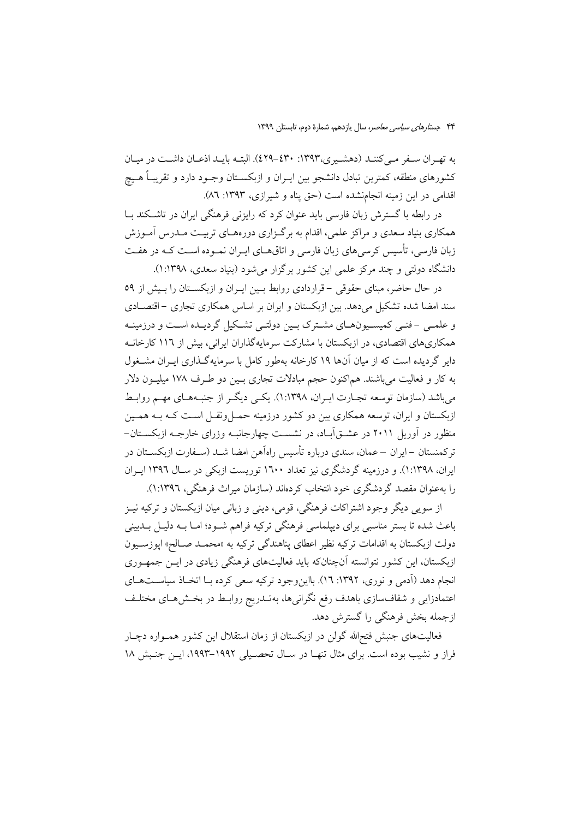به تهـران سـفر مـي كننـد (دهشـيري،١٣٩٣: ٤٢٩-٤٢٩). البتـه بايـد اذعـان داشـت در ميـان کشورهای منطقه، کمترین تبادل دانشجو بین ایـران و ازبکســتان وجــود دارد و تقریبـاً هــیچ اقدامی در این زمینه انجامنشده است (حق پناه و شیرازی، ۱۳۹۳: ۸٦).

در رابطه با گسترش زبان فارسی باید عنوان کرد که رایزنی فرهنگی ایران در تاشیکند سا همکاری بنیاد سعدی و مراکز علمی، اقدام به برگـزاری دورههـای تربیـت مــدرس آمــوزش زبان فارسی، تأسیس کرسی های زبان فارسی و اتاق هـای ایـران نمـوده اسـت کـه در هفـت دانشگاه دولتی و چند مرکز علمی این کشور برگزار می شود (بنیاد سعدی، ۱:۱۳۹۸).

در حال حاضر، مبنای حقوقی –قراردادی روابط بـین ایـران و ازبکسـتان را بـیش از ٥٩ سند امضا شده تشکیل می دهد. بین ازبکستان و ایران بر اساس همکاری تجاری –اقتصـادی و علمے ۔فنے کمیسونامای مشترک پین دولتے تشکیل گردیدہ است و درزمینیه همکاریهای اقتصادی، در ازبکستان با مشارکت سرمایهگذاران ایرانی، بیش از ۱۱۲ کارخانـه دایر گردیده است که از میان آنها ۱۹ کارخانه بهطور کامل با سرمایهگذاری ایـران مشــغول به کار و فعالیت میباشند. هماکنون حجم مبادلات تجاری بـین دو طـرف ۱۷۸ میلیــون دلار میباشد (سازمان توسعه تجـارت ایـران، ۱۳۹۸:۱). یکـی دیگـر از جنبـههـای مهـم روابـط ازبکستان و ایران، توسعه همکاری بین دو کشور درزمینه حمـــ| ونقـــ| اســت کــه بــه همــین منظور در آوریل ۲۰۱۱ در عشــق]بـاد، در نشســت چهارجانبــه وزرای خارجــه ازبکســتان-تر کمنستان –ایران – عمان، سندی درباره تأسیس راهآهن امضا شــد (سـفارت ازبکســتان در ایران، ۱۳۹۸:۱). و درزمینه گردشگری نیز تعداد ۱٦۰۰ توریست ازبکی در سـال ۱۳۹۲ ایـران را بهعنوان مقصد گردشگری خود انتخاب کردهاند (سازمان میراث فرهنگی، ۱۳۹۲:۱).

از سویی دیگر وجود اشتراکات فرهنگی، قومی، دینی و زبانی میان ازبکستان و ترکیه نیـز باعث شده تا بستر مناسبی برای دیپلماسی فرهنگی ترکیه فراهم شـود؛ امـا بــه دلیـل بــدبینی دولت ازبکستان به اقدامات ترکیه نظیر اعطای پناهندگی ترکیه به «محمـد صـالح» اپوزســیون ازبکستان، این کشور نتوانسته آنچنانکه باید فعالیتهای فرهنگی زیادی در ایــن جمهـوری انجام دهد (آدمی و نوری، ۱۳۹۲: ۱۲). بااین وجود ترکیه سعی کرده بـا اتخـاذ سیاسـتهـای اعتمادزایی و شفافسازی باهدف رفع نگرانیها، بهتـدریج روابـط در بخـش۵حای مختلـف ازجمله بخش فرهنگی را گسترش دهد.

فعالیتهای جنبش فتحالله گولن در ازبکستان از زمان استقلال این کشور همـواره دچـار فراز و نشیب بوده است. برای مثال تنهـا در سـال تحصـیلی ۱۹۹۲–۱۹۹۳، ایــز جنـبش ۱۸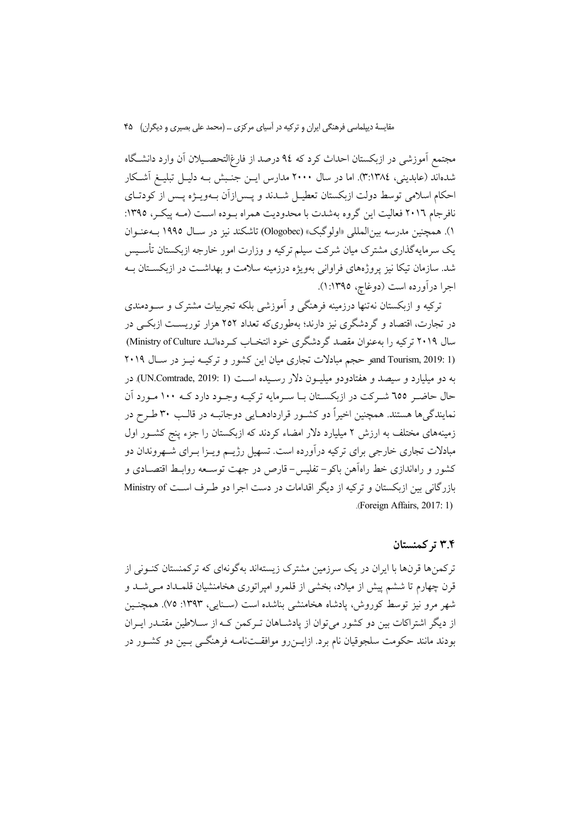مجتمع آموزشی در ازبکستان احداث کرد که ۹٤ درصد از فارغ|لتحصـیلان آن وارد دانشـگاه شدهاند (عابدینی، ٣:١٣٨٤). اما در سال ٢٠٠٠ مدارس ایــن جنـبش بــه دلیــل تبلیــغ اَشــكار احکام اسلامی توسط دولت ازبکستان تعطیـل شــدند و پــس|زاّن بــهویــژه پــس از کودتــای نافرجام ٢٠١٦ فعاليت اين گروه بهشدت با محدوديت همراه بــوده اســت (مــه ييكــر، ١٣٩٥: ۱). همچنین مدرسه بین|لمللی «اولوگبک» (Ologobec) تاشکند نیز در سـال ۱۹۹۵ بــهعنــوان یک سرمایهگذاری مشترک میان شرکت سیلم ترکیه و وزارت امور خارجه ازبکستان تأسـیس شد. سازمان تیکا نیز پروژههای فراوانی بهویژه درزمینه سلامت و بهداشــت در ازبکســتان بــه اجرا درآورده است (دوغاچ، ١:١٣٩٥).

ترکیه و ازبکستان نه تنها درزمینه فرهنگی و آموزشی بلکه تجربیات مشترک و سـودمندی در تجارت، اقتصاد و گردشگری نیز دارند؛ بهطوریکه تعداد ۲۵۲ هزار توریست ازبکی در سال ۲۰۱۹ ترکیه را بهعنوان مقصد گردشگری خود انتخـاب کـردهانـد Ministry of Culture) and Tourism, 2019: 1) و حجم مبادلات تجارى ميان اين كشور و تركيـه نيـز در سـال ٢٠١٩ به دو میلیارد و سیصد و هفتادودو میلیون دلار رسیده است (UN.Comtrade, 2019: 1). در حال حاضـر ٦٥٥ شـركت در ازبكسـتان بـا سـرمايه تركيـه وجـود دارد كـه ١٠٠ مـورد آن نمایندگیها هستند. همچنین اخیراً دو کشـور قراردادهـایی دوجانبـه در قالـب ۳۰ طـرح در زمینههای مختلف به ارزش ۲ میلیارد دلار امضاء کردند که ازبکستان را جزء پنج کشــور اول مبادلات تجاری خارجی برای ترکیه درآورده است. تسهیل رژیــم ویــزا بــرای شــهروندان دو کشور و راهاندازی خط راهآهن باکو– تفلیس- قارص در جهت توســعه روابــط اقتصــادی و بازر گانی بین ازبکستان و ترکیه از دیگر اقدامات در دست اجرا دو طرف است Ministry of (Foreign Affairs, 2017: 1)

#### ۳.۴ تر کمنستان

ترکمنها قرنها با ایران در یک سرزمین مشترک زیستهاند بهگونهای که ترکمنستان کنــونی از قرن چهارم تا ششم پیش از میلاد، بخشی از قلمرو امیراتوری هخامنشیان قلمـداد مـی شـد و شهر مرو نیز توسط کوروش، یادشاه هخامنشی بناشده است (سـنایی، ۱۳۹۳: ۷۵). همچنـین از دیگر اشتراکات بین دو کشور می توان از پادشـاهان تـرکمن کـه از سـلاطین مقتـدر ایــران بودند مانند حکومت سلجوقیان نام برد. ازایــن٫رو موافقــتنامــه فرهنگــی بــین دو کشــور در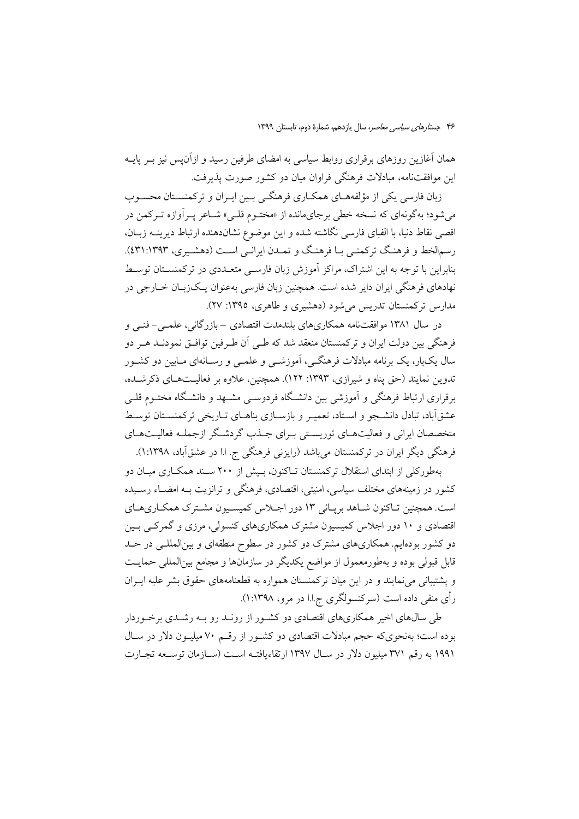همان آغازین روزهای برقراری روابط سیاسی به امضای طرفین رسید و ازآن پس نیز بــر پایــه این موافقتنامه، مبادلات فرهنگی فراوان میان دو کشور صورت پذیرفت.

زبان فارسی یکی از مؤلفههـای همکـاری فرهنگـی بـین ایـران و ترکمنسـتان محسـوب می شود؛ بهگونهای که نسخه خطی برجایمانده از «مختـوم قلـی» شــاعر پـر آوازه تـرکمن در اقصي نقاط دنيا، با الفباي فارسي نگاشته شده و اين موضوع نشاندهنده ارتباط ديرينــه زبــان، رسمالخط و فرهنگ ترکمنبی بـا فرهنگ و تمـدن ایرانـی اسـت (دهشـیری، ۱۳۹۳:۱۳۹۲). بنابراین با توجه به این اشتراک، مراکز آموزش زبان فارسبی متعــدی در ترکمنســتان توسـط نهادهای فرهنگی ایران دایر شده است. همچنین زبان فارسی بهعنوان یـک(بـان خــارجی در مدارس ترکمنستان تدریس می شود (دهشیری و طاهری، ۱۳۹۵: ۲۷).

در سال ۱۳۸۱ موافقتنامه همکاریهای بلندمدت اقتصادی –بازر گانی، علمبی–فنبی و فرهنگی بین دولت ایران و ترکمنستان منعقد شد که طـی اَن طـرفین توافـق نمودنــد هــر دو سال یکبار، یک برنامه مبادلات فرهنگـی، آموزشـی و علمـی و رســانهای مــابین دو کشــور تدوین نمایند (حق پناه و شیرازی، ۱۳۹۳: ۱۲۲). همچنین، علاوه بر فعالیـتهـای ذکرشـده، برقراری ارتباط فرهنگی و آموزشی بین دانشگاه فردوسـی مشـهد و دانشـگاه مختـوم قلـی عشقآباد، تبادل دانشــجو و اســتاد، تعمیــر و بازســازی بناهــای تــاریخی ترکمنســتان توســط متخصصان ايراني و فعاليتهـاي توريسـتي بـراي جــذب گردشــگر ازجملــه فعاليــتهـاي فرهنگی دیگر ایران در ترکمنستان میباشد (رایزنی فرهنگی ج. ا.ا در عشقآباد، ۱۳۹۸:۱).

بهطورکلی از ابتدای استقلال ترکمنستان تـاکنون، بـیش از ۲۰۰ سـند همکــاری میــان دو کشور در زمینههای مختلف سیاسی، امنیتی، اقتصادی، فرهنگی و ترانزیت بــه امضــاء رســیده است. همچنین تـاکنون شـاهد بریـائی ۱۳ دور اجـلاس کمیسـیون مشـترک همکـاریهـای اقتصادی و ۱۰ دور اجلاس کمیسیون مشترک همکاریهای کنسولی، مرزی و گمرکـی بـین دو کشور بودهایم. همکاریهای مشترک دو کشور در سطوح منطقهای و بینالمللـی در حــد قابل قبولی بوده و بهطورمعمول از مواضع یکدیگر در سازمانها و مجامع بین|لمللی حمایـت و پشتیبانی می نمایند و در این میان ترکمنستان همواره به قطعنامههای حقوق بشر علیه ایـران رأي منفي داده است (سرکنسولگري ج.ا.ا در مرو، ۱۳۹۸:۱).

طی سالهای اخیر همکاریهای اقتصادی دو کشـور از رونـد رو بـه رشـدی برخـوردار بوده است؛ بهنحویکه حجم مبادلات اقتصادی دو کشـور از رقـم ۷۰ میلیـون دلار در سـال ۱۹۹۱ به رقم ۳۷۱ میلیون دلار در سـال ۱۳۹۷ ارتقاءیافتـه اسـت (سـازمان توسـعه تجـارت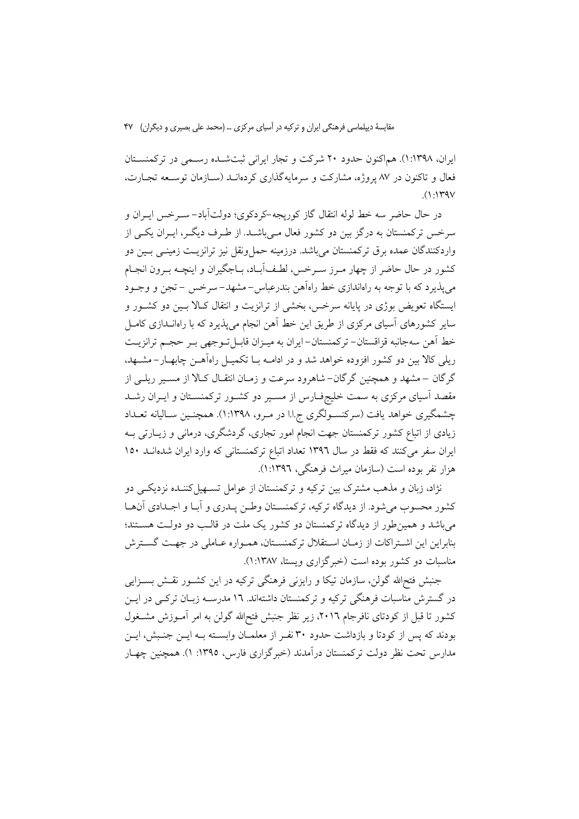ایران، ۱:۱۳۹۸). هماکنون حدود ۲۰ شرکت و تجار ایرانی ثبتشده رسمی در ترکمنستان فعال و تاکنون در ۸۷ پروژه، مشارکت و سرمایهگذاری کردهانــد (ســازمان توســعه تجــارت،  $(1.1Y9V$ 

در حال حاضر سه خط لوله انتقال گاز کوریجه-کردکوی؛ دولتآباد- سـرخس ایــران و سرخس ترکمنستان به درگز بین دو کشور فعال مـی،باشـد. از طـرف دیگـر، ایـران یکـی از واردکنندگان عمده برق ترکمنستان میباشد. درزمینه حمل ونقل نیز ترانزیـت زمینـی بـین دو كشور در حال حاضر از چهار مـرز سـرخس، لطـف]بـاد، بـاجگیران و اینچـه بـرون انجـام می پذیرد که با توجه به راهاندازی خط راهآهن بندرعباس-مشهد–سرخس –تجن و وجـود ایستگاه تعویض بوژی در پایانه سرخس، بخشی از ترانزیت و انتقال کـالا بـین دو کشــور و سایر کشورهای آسیای مرکزی از طریق این خط آهن انجام می پذیرد که با راهانــدازی کامــل خط آهن سهجانبه قزاقستان- تركمنستان-ايران به ميـزان قابـلتوجهي بـر حجـم ترانزيـت ریلی کالا بین دو کشور افزوده خواهد شد و در ادامــه بــا تکمیــل راهآهــن چابهــار – مشــهد، گر گان –مشهد و همچنین گرگان– شاهرود سرعت و زمـان انتقـال کـالا از مسـير ريلـي از مقصد آسیای مرکزی به سمت خلیجفـارس از مسـیر دو کشــور ترکمنســتان و ایــران رشــد چشمگیری خواهد یافت (سرکنسـولگری ج.ا.ا در مـرو، ۱:۱۳۹۸). همچنـین سـالیانه تعــداد زیادی از اتباع کشور ترکمنستان جهت انجام امور تجاری، گردشگری، درمانی و زیـارتی بـه ایران سفر میکنند که فقط در سال ۱۳۹۲ تعداد اتباع ترکمنستانی که وارد ایران شدهانــد ۱۵۰ هزار نفر بوده است (سازمان میراث فرهنگی، ۱:۱۳۹٦).

نژاد، زبان و مذهب مشترک بین ترکیه و ترکمنستان از عوامل تســهیلکننــده نزدیکــی دو كشور محسوب مى شود. از ديدگاه تركيه، تركمنسـتان وطـن پــدرى و آبـا و اجــدادى آنهـا میباشد و همین طور از دیدگاه ترکمنستان دو کشور یک ملت در قالـب دو دولـت هســتند؛ بنابراین این اشتراکات از زمان استقلال ترکمنستان، همـواره عـاملی در جهـت گسـترش مناسبات دو کشور بوده است (خبرگزاری ویستا، ۱:۱۳۸۷).

جنبش فتح|لله گولن، سازمان تيكا و رايزني فرهنگي تركيه در اين كشـور نقـش بسـزايي در گسترش مناسبات فرهنگی ترکیه و ترکمنستان داشتهاند. ۱٦ مدرســه زبـان ترکــی در ایــن کشور تا قبل از کودتای نافرجام ۲۰۱٦، زیر نظر جنبش فتحالله گولن به امر آمـوزش مشـغول بودند که پس از کودتا و بازداشت حدود ۳۰ نفـر از معلمـان وابسـته بـه ايـن جنـبش، ايـن مدارس تحت نظر دولت تركمنستان درآمدند (خبرگزاري فارس، ١٣٩٥: ١). همچنين چهـار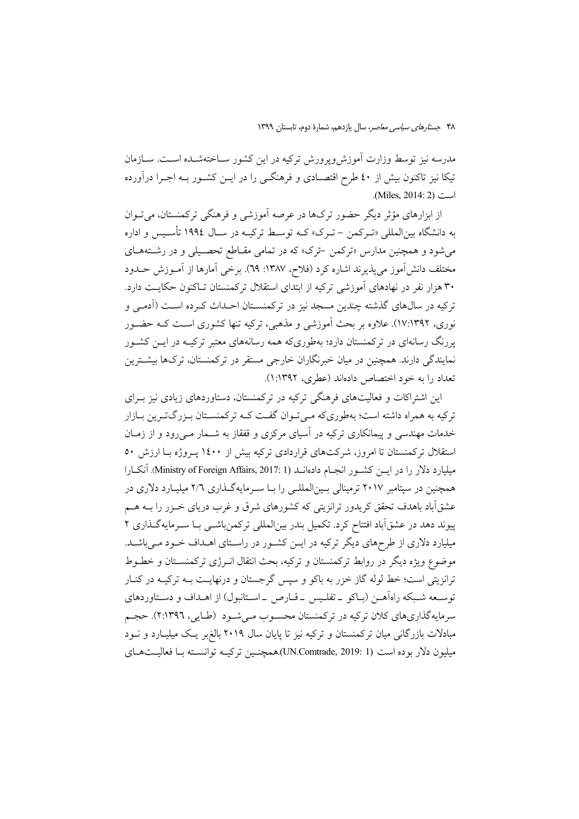مدرسه نیز توسط وزارت اَموزش ویرورش ترکیه در این کشور ســاختهشــده اســت. ســازمان تیکا نیز تاکنون بیش از ٤٠ طرح اقتصـادی و فرهنگــی را در ایــن کشــور بــه اجــرا درآورده .(Miles, 2014: 2)

از ابزارهای مؤثر دیگر حضور ترکها در عرصه آموزشی و فرهنگی ترکمنستان، می تــوان به دانشگاه بینالمللی «تـرکمن – تـرک» کــه توسـط ترکیــه در ســال ۱۹۹٤ تأســیس و اداره می شود و همچنین مدارس «ترکمن -ترک» که در تمامی مقـاطع تحصـیلی و در رشـتههـای مختلف دانش[موز می پذیرند اشاره کرد (فلاح، ۱۳۸۷: ٦٩). برخی آمارها از آمـوزش حــدود ۳۰ هزار نفر در نهادهای آموزشی ترکیه از ابتدای استقلال ترکمنستان تـاکنون حکایـت دارد. ترکیه در سالهای گذشته چندین مسجد نیز در ترکمنسـتان احـداث کـرده اسـت (آدمـی و نوری، ۱۷:۱۳۹۲). علاوه بر بحث اَموزشی و مذهبی، ترکیه تنها کشوری است کـه حضــور پررنگ رسانهای در ترکمنستان دارد؛ بهطوریکه همه رسانههای معتبر ترکیـه در ایــن کشــور نمایندگی دارند. همچنین در میان خبرنگاران خارجی مستقر در ترکمنستان، ترکها بیشــترین تعداد را به خود اختصاص دادماند (عطری، ۱۳۹۲:۱).

این اشتراکات و فعالیتهای فرهنگی ترکیه در ترکمنستان، دستاوردهای زیادی نیز بـرای ترکیه به همراه داشته است؛ بهطوریکه مـیتوان گفـت کـه ترکمنسـتان بـزرگتـرین بـازار خدمات مهندسی و پیمانکاری ترکیه در آسیای مرکزی و قفقاز به شــمار مــی(ود و از زمــان استقلال ترکمنستان تا امروز، شرکتهای قراردادی ترکیه بیش از ۱٤۰۰ پـروژه بـا ارزش ٥٠ میلیارد دلار را در ایس کشور انجمام دادهانــد (Ministry of Foreign Affairs, 2017: 1). آنکــارا همچنین در سپتامبر ۲۰۱۷ ترمینالی بـینالمللـی را بـا سـرمایهگـذاری ۲/۲ میلیـارد دلاری در عشقآباد باهدف تحقق کریدور ترانزیتی که کشورهای شرق و غرب دریای خــزر را بــه هــم پیوند دهد در عشقآباد افتتاح کرد. تکمیل بندر بینالمللی ترکمنباشـی بـا سـرمایهگـذاری ۲ میلیارد دلاری از طرحهای دیگر ترکیه در ایــن کشــور در راسـتای اهــداف خــود مــیباشــد. موضوع ويژه ديگر در روابط تركمنستان و تركيه، بحث انتقال انــرژى تركمنســتان و خطــوط ترانزیتی است؛ خط لوله گاز خزر به باکو و سپس گرجستان و درنهایـت بــه ترکیــه در کنــار توسـعه شـبکه راهاَهــن (بــاکو \_تفلـيس \_قــارص \_اســتانبول) از اهــداف و دســتاوردهای سرمایهگذاریهای کلان ترکیه در ترکمنستان محسـوب مـیشـود (طـایی، ۲:۱۳۹٦). حجـم مبادلات بازرگانی میان ترکمنستان و ترکیه نیز تا پایان سال ۲۰۱۹ بالغ بر یک میلیـارد و نــود ميليون دلار بوده است (UN.Comtrade, 2019: 1).همچنـين تركيــه توانســته بــا فعاليــتهــاي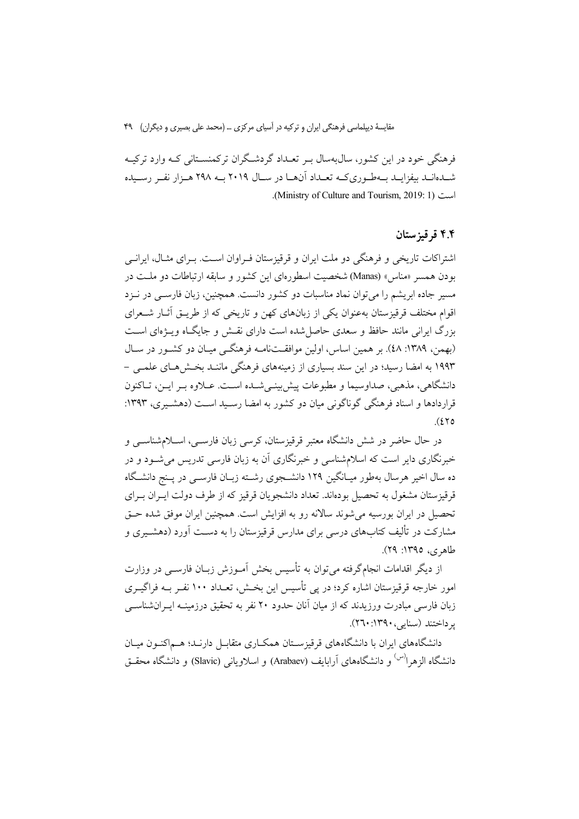فرهنگي خود در اين کشور، سال¢سال بـر تعـداد گردشـگران ترکمنسـتاني کـه وارد ترکيـه شـدهانـد بيفزايـد بـهطـوريكـه تعـداد آنهـا در سـال ٢٠١٩ بـه ٢٩٨ هـزار نفـر رسـيده .(Ministry of Culture and Tourism, 2019: 1).

#### ۴.۴ قرقیز ستان

اشتراکات تاریخی و فرهنگی دو ملت ایران و قرقیزستان فـراوان اسـت. بـرای مثـال، ایرانــی بودن همسر «مناس» (Manas) شخصیت اسطورهای این کشور و سابقه ارتباطات دو ملـت در مسیر جاده ابریشم را می توان نماد مناسبات دو کشور دانست. همچنین، زبان فارســی در نــزد اقوام مختلف قرقیزستان بهعنوان یکی از زبانهای کهن و تاریخی که از طریــق اَثــار شــعرای بزرگ ایرانی مانند حافظ و سعدی حاصل شده است دارای نقـش و جایگـاه ویـژهای اسـت (بهمن، ١٣٨٩: ٤٨). بر همين اساس، اولين موافقتنامـه فرهنگـي ميـان دو كشـور در سـال ۱۹۹۳ به امضا رسید؛ در این سند بسیاری از زمینههای فرهنگی ماننید بخش هیای علمی – دانشگاهي، مذهبي، صداوسيما و مطبوعات پيش بينـي شـده اسـت. عــلاوه بـر ايــن، تــاكنون قرار دادها و اسناد فرهنگی گوناگونی مبان دو کشور به امضا رسید است (دهشیری، ۱۳۹۳:  $(270)$ 

در حال حاضر در شش دانشگاه معتبر قرقیزستان، کرسی زبان فارسـی، اسـلامشناســی و خبرنگاری دایر است که اسلامشناسی و خبرنگاری آن به زبان فارسی تدریس می شود و در ده سال اخیر هرسال بهطور میـانگین ۱۲۹ دانشــجوی رشــته زبــان فارســی در پــنج دانشــگاه قرقیزستان مشغول به تحصیل بودهاند. تعداد دانشجو بان قرقیز که از طرف دولت ایـران بـرای تحصيل در ايران بورسيه مي شوند سالانه رو به افزايش است. همچنين ايران موفق شده حـق مشارکت در تألیف کتابهای درسی برای مدارس قرقبزستان را به دست آورد (دهشــبری و طاهري، ١٣٩٥: ٢٩).

از دیگر اقدامات انجامگرفته می توان به تأسیس بخش آمـوزش زبـان فارســی در وزارت امور خارجه قرقیزستان اشاره کرد؛ در پی تأسیس این بخـش، تعـداد ۱۰۰ نفـر بــه فراگیــری زبان فارسی مبادرت ورزیدند که از مبان آنان حدود ۲۰ نفر به تحقیق درزمینـه ایـرانشناســی بر داختند (سنایر، ۱۳۹۰: ۲۶۰).

دانشگاههای ایران با دانشگاههای قرقیزسـتان همکـاری متقابــل دارنــد؛ هــم|کنــون میــان دانشگاه الزهرا<sup>(س)</sup> و دانشگاههای آرابایف (Arabaev) و اسلاویانی (Slavic) و دانشگاه محقــق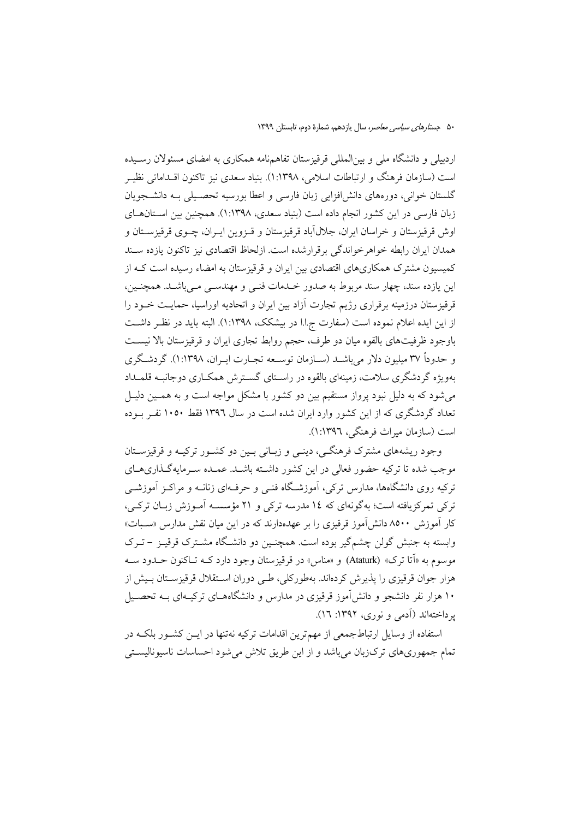اردبیلی و دانشگاه ملی و بین المللی قرقیزستان تفاهمنامه همکاری به امضای مسئولان رسـیده است (سازمان فرهنگ و ارتباطات اسلامی، ۱۳۹۸:۱). بنیاد سعدی نیز تاکنون اقــداماتی نظیــر گلستان خوانی، دورههای دانش افزایی زبان فارسی و اعطا بورسیه تحصـیلی بـه دانشـجویان زبان فارسی در این کشور انجام داده است (بنیاد سعدی، ۱:۱۳۹۸). همچنین بین اسـتانهـای اوش قرقیزستان و خراسان ایران، جلال اَباد قرقیزستان و قـزوین ایـران، چـوی قرقیزســتان و همدان ایران رابطه خواهرخواندگی برقرارشده است. ازلحاظ اقتصادی نیز تاکنون یازده سـند کمیسیون مشترک همکاریهای اقتصادی بین ایران و قرقیزستان به امضاء رسیده است کـه از این پازده سند، چهار سند مربوط به صدور خـلـمات فنـی و مهندسـی مـی باشـلـ. همچنـین، قرقیزستان درزمینه برقراری رژیم تجارت آزاد بین ایران و اتحادیه اوراسیا، حمایـت خــود را از این ایده اعلام نموده است (سفارت ج.ا.ا در بیشکک، ۱:۱۳۹۸). البته باید در نظـر داشـت باوجود ظرفیتهای بالقوه میان دو طرف، حجم روابط تجاری ایران و قرقیزستان بالا نیست و حدوداً ۳۷ میلیون دلار می باشید (سیازمان توسیعه تجبارت ایبران، ۱۳۹۸). گردشگری بهویژه گردشگری سلامت، زمینهای بالقوه در راسـتای گسـترش همکــاری دوجانبــه قلمــداد می شود که به دلیل نبود پرواز مستقیم بین دو کشور با مشکل مواجه است و به همـین دلیـل تعداد گردشگری که از این کشور وارد ایران شده است در سال ۱۳۹۲ فقط ۱۰۵۰ نفـر بـوده است (سازمان میراث فرهنگی، ۱۳۹۶:۱).

وجود ریشههای مشترک فرهنگے، دینے و زبـانی بـین دو کشـور ترکیـه و قرقیزسـتان موجب شده تا ترکیه حضور فعالی در این کشور داشته باشید. عمیده سیرمایهگذاریهبای .<br>ترکیه روی دانشگاهها، مدارس ترکی، آموزشگاه فنبی و حرف۱ای زنانـه و مراکـز آموزشـبی ترکی تمرکزیافته است؛ په گونهای که ۱۶ مدرسه ترکی و ۲۱ مؤسسه آمـوزش زبـان ترکـی، کار آموزش ۸۵۰۰ دانش آموز قرقیزی را بر عهدهدارند که در این میان نقش مدارس «سـبات» وابسته به جنبش گولن چشمگیر بوده است. همچنـین دو دانشـگاه مشـترک قرقیـز – تـرک موسوم به «اَتا ترک» (Ataturk) و «مناس» در قرقیزستان وجود دارد کــه تــاکنون حــدود ســه هزار جوان قرقیزی را پذیرش کردهاند. بهطورکلی، طـی دوران اسـتقلال قرقیزسـتان بـیش از ۱۰ هزار نفر دانشجو و دانشآموز قرقیزی در مدارس و دانشگاههـای ترکیـهای بـه تحصـیل یر داختهاند (آدمی و نوری، ۱۳۹۲: ۱۲).

استفاده از وسایل ارتباطجمعی از مهمترین اقدامات ترکیه نهتنها در ایــن کشــور بلکــه در تمام جمهوریهای ترک(بان میباشد و از این طریق تلاش می شود احساسات ناسیونالیستی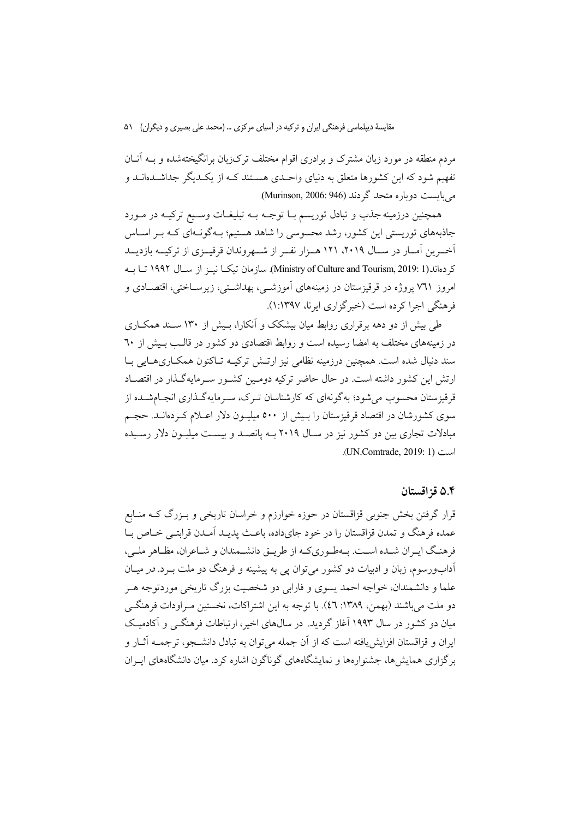مردم منطقه در مورد زبان مشترک و برادری اقوام مختلف ترکزبان برانگیختهشده و بــه آنــان تفهیم شود که این کشورها متعلق به دنیای واحـدی هســتند کــه از یکــدیگر جداشــدهانــد و می بایست دویاره متحد گردند (Murinson, 2006: 946).

همچنین درزمینه جذب و تبادل توریسم بــا توجــه بــه تبلیغــات وســیع ترکیــه در مــورد جاذبههای توریستی این کشور، رشد محسوسی را شاهد هستیم؛ بـهگونـهای کـه بـر اسـاس آخـرین آمــار در ســال ۲۰۱۹، ۱۲۱ هــزار نفــر از شـــهروندان قرقیــزی از ترکیــه بازدیــد كردهاند(Ministry of Culture and Tourism, 2019: 1). سازمان تيكـا نيـز از سـال ١٩٩٢ تـا بـه امروز ۷٦۱ پروژه در قرقیزستان در زمینههای آموزشـی، بهداشـتی، زیرســاختی، اقتصــادی و فرهنگی اجرا کرده است (خبر گزاری ایرنا، ۱۳۹۷:۱).

طی بیش از دو دهه برقراری روابط میان بیشکک و آنکارا، پیش از ۱۳۰ سبند همکباری در زمینههای مختلف به امضا رسیده است و روابط اقتصادی دو کشور در قالـب بـیش از ٦٠ سند دنبال شده است. همچنین درزمینه نظامی نیز ارتـش ترکیــه تــاکنون همکــاریهــایی بــا ارتش این کشور داشته است. در حال حاضر ترکیه دومـین کشـور سـرمایهگـذار در اقتصـاد قرقیزستان محسوب می شود؛ به گونهای که کارشناسان تـرک، سـرمایهگـذاری انجـامشـده از سوی کشورشان در اقتصاد قرقیزستان را بـیش از ۵۰۰ میلیـون دلار اعـلام کـردهانـد. حجـم مبادلات تجاری بین دو کشور نیز در سـال ۲۰۱۹ بـه پانصـد و بیسـت میلیـون دلار رسـیده است (UN.Comtrade, 2019: 1).

#### ۵.۴ قز اقستان

قرار گرفتن بخش جنوبی قزاقستان در حوزه خوارزم و خراسان تاریخی و بـزرگ کــه منــابع عمده فرهنگ و تمدن قزاقستان را در خود جايداده، باعث پديـد آمـدن قرابتـي خـاص بـا فرهنگ ايـران شـده اسـت. بـهطـوريكـه از طريـق دانشـمندان و شـاعران، مظـاهر ملـي، آدابورسوم، زبان و ادبیات دو کشور می توان یی به پیشینه و فرهنگ دو ملت بـرد. *در* میــان علما و دانشمندان، خواجه احمد پسوی و فارابی دو شخصیت بزرگ تاریخی موردتوجه هـر دو ملت می باشند (بهمن، ۱۳۸۹: ٤٦). با توجه به این اشتراکات، نخستین مـراودات فرهنگـی میان دو کشور در سال ۱۹۹۳ آغاز گردید. در سال۵ای اخیر، ارتباطات فرهنگــم و آکادمیـک ابران و قزاقستان افزایش بافته است که از آن جمله می توان به تبادل دانشیجو، ترجمیه آثیار و برگزاری همایش ها، جشنوارهها و نمایشگاههای گوناگون اشاره کرد. میان دانشگاههای ایبران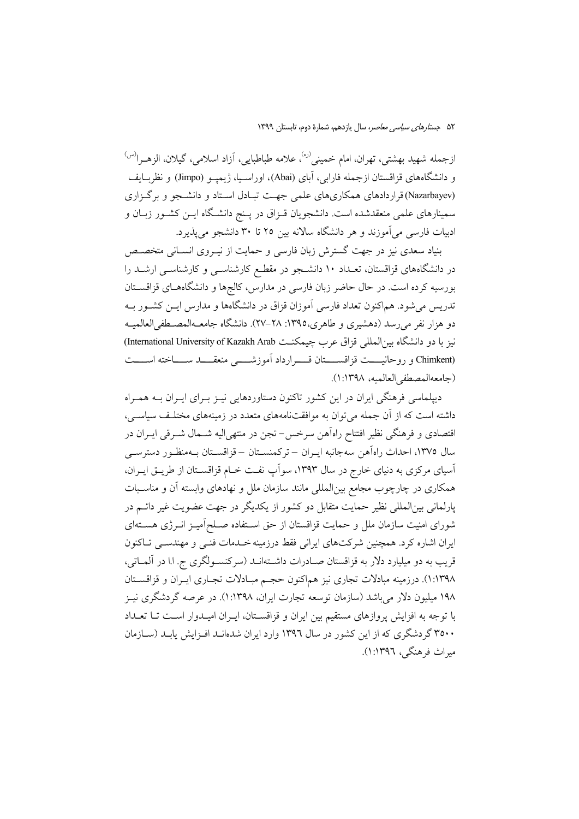ازجمله شهید بهشتی، تهران، امام خمینی<sup>(ره)</sup>، علامه طباطبایی، آزاد اسلامی، گیلان، الزهـرا<sup>(س)</sup> و دانشگاههای قزاقستان ازجمله فارابی، آبای (Abai)، اوراسـیا، ژیمیــو (Jimpo) و نظربــایف (Nazarbayev)قراردادهای همکاریهای علمی جهت تبـادل اسـتاد و دانشـجو و برگـزاری سمینارهای علمی منعقدشده است. دانشجویان قــزاق در پــنج دانشــگاه ایــن کشــور زبــان و ادبیات فارسی می آموزند و هر دانشگاه سالانه بین ۲۵ تا ۳۰ دانشجو می پذیرد.

بنیاد سعدی نیز در جهت گسترش زبان فارسی و حمایت از نیـروی انســانی متخصــص در دانشگاههای قزاقستان، تعــداد ۱۰ دانشــجو در مقطــع کارشناســی و کارشناســی ارشــد را بورسیه کرده است. در حال حاضر زبان فارسی در مدارس، کالجها و دانشگاههـای قزاقسـتان تدریس می شود. هماکنون تعداد فارسی آموزان قزاق در دانشگاهها و مدارس ایــن کشــور بــه دو هزار نفر می رسد (دهشیری و طاهری،۱۳۹۵: ۲۸–۲۷). دانشگاه جامعـهالمصـطفی|لعالمیـه نيز با دو دانشگاه بين المللي قزاق عرب چيمكنت International University of Kazakh Arab) (Chimkent و روحانيست قزاقسستان قسرارداد أموزشسي منعقسد سساخته اسست (جامعه المصطفى العالميه، ١٣٩٨: ١).

دیپلماسی فرهنگی ایران در این کشور تاکنون دستاوردهایی نیـز بـرای ایـران بـه همـراه داشته است که از آن جمله می توان به موافقتنامههای متعدد در زمینههای مختلف سیاسـی، اقتصادی و فرهنگی نظیر افتتاح راهآهن سرخس- تجن در منتهی|لیه شــمال شــرقی ایــران در سال ١٣٧٥، احداث راهآهن سهجانبه ايـران – تركمنسـتان – قزاقسـتان بـهمنظـور دسترسـي آسیای مرکزی به دنیای خارج در سال ۱۳۹۳، سواَپ نفت خـام قزاقسـتان از طریــق ایــران، همکاری در چارچوب مجامع بین|لمللی مانند سازمان ملل و نهادهای وابسته آن و مناسـبات پارلمانی بینالمللی نظیر حمایت متقابل دو کشور از یکدیگر در جهت عضویت غیر دائــم در شورای امنیت سازمان ملل و حمایت قزاقستان از حق اسـتفاده صـلحآمیـز انــرژی هسـتهای ایران اشاره کرد. همچنین شرکتهای ایرانی فقط درزمینه خــدمات فنــی و مهندســی تــاکنون قریب به دو میلیارد دلار به قزاقستان صـادرات داشـتهانــد (سرکنســولگری ج. ا.ا در آلمــاتی، ١:١٣٩٨). درزمينه مبادلات تجاري نيز هماكنون حجم مبـادلات تجـاري ايـران و قزاقسـتان ۱۹۸ میلیون دلار می باشد (سازمان توسعه تجارت ایران، ۱۳۹۸:۱). در عرصه گردشگری نیـز با توجه به افزایش پروازهای مستقیم بین ایران و قزاقسـتان، ایـران امیـدوار اسـت تـا تعـداد ۳۵۰۰ گردشگری که از این کشور در سال ۱۳۹۲ وارد ایران شدهانـد افـزایش پابـد (سـازمان میراث فرهنگی، ۱۳۹۶:۱).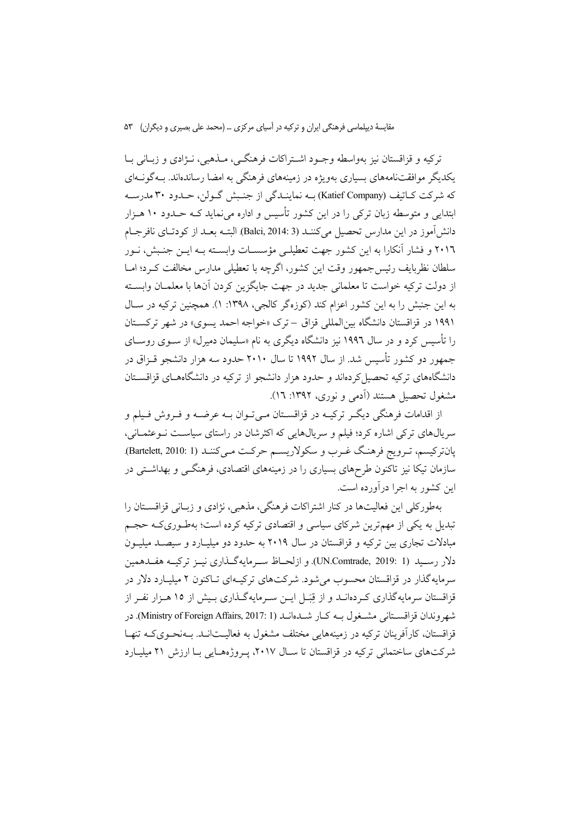ترکيه و قزاقستان نيز بهواسطه وجـود اشـتراکات فرهنگـي، مــذهبي، نــژادي و زيــاني بــا یکدیگر موافقتنامههای بسیاری بهویژه در زمینههای فرهنگی به امضا رساندهاند. بـهگونــهای که شرکت کــاتیف (Katief Company) بــه نماینــدگی از جنــبش گــولن، حــدود ۳۰ مدرســه ابتدایی و متوسطه زبان ترکی را در این کشور تأسیس و اداره می نماید کـه حـدود ۱۰ هـزار دانش آموز در این مدارس تحصیل می کننــد (Balci, 2014: 3). البتــه بعــد از کودتــای نافرجــام ۲۰۱٦ و فشار آنکارا به این کشور جهت تعطیلبی مؤسسـات وابسـته بـه ایـن جنـبش، نـور سلطان نظربایف رئیس جمهور وقت این کشور، اگرچه با تعطیلی مدارس مخالفت کـرد؛ امــا از دولت تركيه خواست تا معلماني جديد در جهت جايگزين كردن آنها با معلمــان وابســته به این جنبش را به این کشور اعزام کند (کوزهگر کالجی، ۱۳۹۸: ۱). همچنین ترکیه در سـال ۱۹۹۱ در قزاقستان دانشگاه بین المللی قزاق –ترک «خواجه احمد پسوی» در شهر ترکستان را تأسیس کرد و در سال ۱۹۹۲ نیز دانشگاه دیگری به نام «سلیمان دمیرل» از سـوی روسـای جمهور دو کشور تأسس شد. از سال ۱۹۹۲ تا سال ۲۰۱۰ حدود سه هزار دانشجو قـزاق در دانشگاههای ترکیه تحصیل کردهاند و حدود هزار دانشجو از ترکیه در دانشگاههـای قزاقســتان مشغول تحصیل هستند (اَدمی و نوری، ۱۳۹۲: ۱۲).

از اقدامات فرهنگی دیگـر ترکیـه در قزاقســتان مـیتـوان بــه عرضــه و فـروش فـیلم و سریالهای ترکی اشاره کرد؛ فیلم و سریالهایی که اکثرشان در راستای سیاست نـوعثمـانی، پانترکیسم، تـرویج فرهنگ غـرب و سکولاریسـم حرکـت مـیکننـد (Bartelett, 2010: 1). سازمان تیکا نیز تاکنون طرحهای بسیاری را در زمینههای اقتصادی، فرهنگــی و بهداشــتی در این کشور به اجرا در آورده است.

بهطورکلی این فعالیتها در کنار اشتراکات فرهنگی، مذهبی، نژادی و زبـانی قزاقسـتان را تبدیل به یکی از مهمترین شرکای سیاسی و اقتصادی ترکیه کرده است؛ بهطـوریکـه حجـم مبادلات تجاری بین ترکیه و قزاقستان در سال ۲۰۱۹ به حدود دو میلیـارد و سیصـد میلیـون دلار رسـيد (UN.Comtrade, 2019: 1). و ازلحــاظ ســرمايهگــذاري نيــز تركيــه هفــدهمين سرمایه گذار در قزاقستان محسوب می شود. شرکتهای ترکیـهای تـاکنون ۲ میلیـارد دلار در قزاقستان سرمایهگذاری کـردهانــد و از قِبَــل ایــن ســرمایهگــذاری بــیش از ۱۵ هــزار نفــر از شهروندان قزاقســتاني مشــغول بــه كــار شــدهانــد (Ministry of Foreign Affairs, 2017: 1). در قزاقستان، کارآفرینان ترکیه در زمینههایی مختلف مشغول به فعالیـتانـد. بـهنحـویکـه تنهـا شرکتهای ساختمانی ترکیه در قزاقستان تا سـال ۲۰۱۷، پـروژههـایی بـا ارزش ۲۱ میلیـارد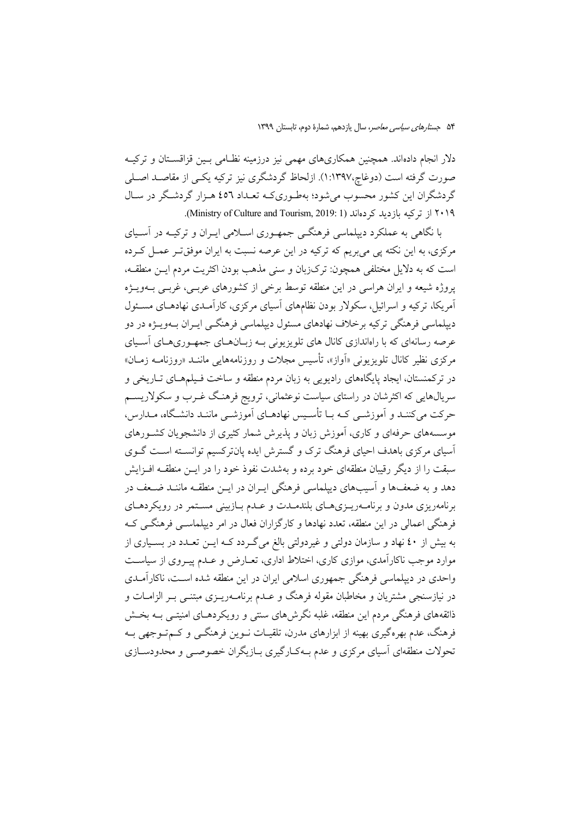دلار انجام دادهاند. همچنین همکاریهای مهمی نیز درزمینه نظـامی بـین قزاقســتان و ترکیــه صورت گرفته است (دوغاچ،۱:۱۳۹۷). ازلحاظ گردشگری نیز ترکیه یکسی از مقاصـد اصـلی گردشگران این کشور محسوب می شود؛ بهطـوریکـه تعـداد ٤٥٦ هـزار گردشـگر در سـال ۲۰۱۹ از ترکیه بازدید کردهاند (Ministry of Culture and Tourism, 2019: 1).

با نگاهی به عملکرد دیپلماسی فرهنگـی جمهـوری اسـلامی ایـران و ترکیــه در آسـیای مرکزی، به این نکته یی می بریم که ترکیه در این عرصه نسبت به ایران موفقت و عمــل کـرده است كه به دلايل مختلفي همچون: تركزبان و سنى مذهب بودن اكثريت مردم ايـن منطقـه، یروژه شیعه و ایران هراسی در این منطقه توسط برخی از کشورهای عربـی، غربـی بـهویــژه آمریکا، ترکیه و اسرائیل، سکولار بودن نظامهای آسیای مرکزی، کارآمـدی نهادهـای مسـئول دیپلماسی فرهنگی ترکیه برخلاف نهادهای مسئول دیپلماسی فرهنگـی ایـران بــهویــژه در دو عرصه رسانهای که با راهاندازی کانال های تلویزیونی بـه زبـانهـای جمهـوریهـای آسـیای مرکزی نظیر کانال تلویزیونی «اَواز»، تأسیس مجلات و روزنامههایی ماننــد «روزنامــه زمــان» در ترکمنستان، ایجاد پایگاههای رادیویی به زبان مردم منطقه و ساخت فـیلمهـای تـاریخی و سریالهایی که اکثرشان در راستای سیاست نوعثمانی، ترویج فرهنگ غــرب و سکولاریســم حرکت میکننـد و آموزشــی کــه بــا تأســیس نهادهــای آموزشــی ماننــد دانشــگاه، مــدارس، موسسههای حرفهای و کاری، آموزش زبان و پذیرش شمار کثیری از دانشجویان کشـورهای آسیای مرکزی باهدف احیای فرهنگ ترک و گسترش ایده پانترکسیم توانسـته اسـت گــوی سبقت را از دیگر رقیبان منطقهای خود برده و بهشدت نفوذ خود را در ایــن منطقــه افــزایش دهد و به ضعفها و آسیبهای دیپلماسی فرهنگی ایبران در این منطقیه ماننید ضیعف در برنامهریزی مدون و برنامــهریــزیهــای بلندمــدت و عــدم بــازبینی مســتمر در رویکردهــای فرهنگی اعمالی در این منطقه، تعدد نهادها و کارگزاران فعال در امر دیپلماســی فرهنگــی کــه به بیش از ٤٠ نهاد و سازمان دولتی و غیردولتی بالغ می گـردد کــه ایــن تعــدد در بســیاری از موارد موجب ناکارآمدی، موازی کاری، اختلاط اداری، تعـارض و عـدم پیـروی از سیاسـت واحدی در دیپلماسی فرهنگی جمهوری اسلامی ایران در این منطقه شده است، ناکارآمـدی در نیازسنجی مشتریان و مخاطبان مقوله فرهنگ و عــدم برنامــهریــزی مبتنــی بــر الزامــات و ذائقههای فرهنگی مردم این منطقه، غلبه نگرشهای سنتی و رویکردهـای امنیتـی بــه بخــش فرهنگ، عدم بهرهگیری بهینه از ابزارهای مدرن، تلقیـات نــوین فرهنگــی و کــمتــوجهی بــه تحولات منطقهای آسیای مرکزی و عدم بـهکـارگیری بـازیگران خصوصـی و محدودسـازی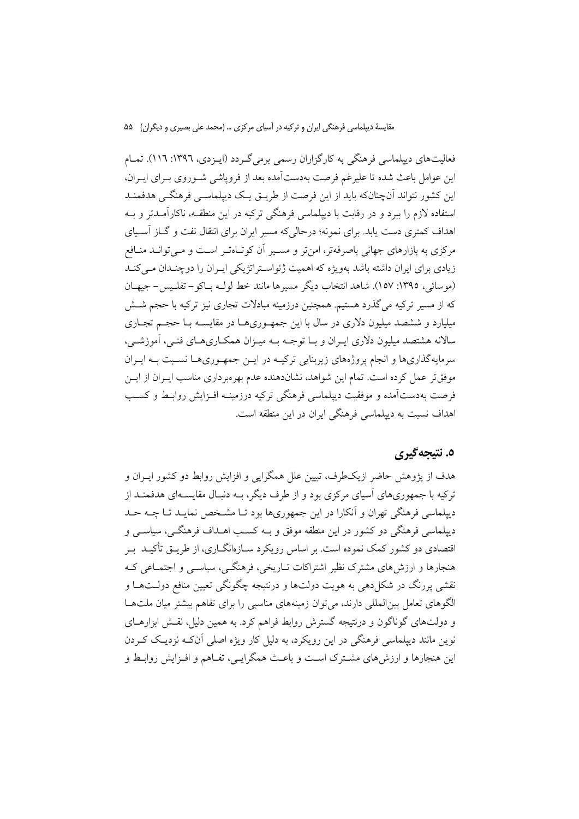فعالیتهای دیپلماسی فرهنگی به کارگزاران رسمی برمی گـردد (ایـزدی، ۱۳۹۲: ۱۱٦). تمـام این عوامل باعث شده تا علیرغم فرصت بهدستآمده بعد از فرویاشی شـوروی بـرای ایـران، این کشور نتواند آنچنانکه باید از این فرصت از طریـق یـک دیپلماسـی فرهنگـی هدفمنـد استفاده لازم را ببرد و در رقابت با دیپلماسی فرهنگی ترکیه در این منطقــه، ناکارآمــدتر و بــه اهداف کمتری دست یابد. برای نمونه؛ درحالی که مسیر ایران برای انتقال نفت و گــاز آســیای مرکزی به بازارهای جهانی باصرفهتر، امن تر و مسـیر آن کوتـاهتـر اسـت و مـبی توانــد منــافعر زیادی برای ایران داشته باشد بهویژه که اهمیت ژئواستراتژیکی ایـران را دوچنـدان مـی کنـد (موسائی، ١٣٩٥: ١٥٧). شاهد انتخاب دیگر مسیرها مانند خط لولـه بـاکو – تفلـیس – جیهـان که از مسیر ترکیه میگذرد هستیم. همچنین درزمینه مبادلات تجاری نیز ترکیه با حجم شــش میلیارد و ششصد میلیون دلاری در سال با این جمهوریها در مقایسـه بـا حجـم تجـاری سالانه هشتصد میلیون دلاری ایـران و بـا توجــه بــه میــزان همکــاریهــای فنــی، آموزشــی، سرمایهگذاریها و انجام پروژههای زیربنایی ترکیــه در ایــن جمهــوریهــا نســبت بــه ایــران موفق تر عمل کرده است. تمام این شواهد، نشاندهنده عدم بهر مبر داری مناسب ایـران از ایــن فرصت بهدستآمده و موفقیت دیپلماسی فرهنگی ترکیه درزمینــه افــزایش روابــط و کســب اهداف نسبت به دیپلماسی فرهنگی ایران در این منطقه است.

### ٥. نتيجه گيري

هدف از پژوهش حاضر ازیکطرف، تبیین علل همگرایی و افزایش روابط دو کشور ایـران و ترکیه با جمهوریهای آسیای مرکزی بود و از طرف دیگر، بــه دنبـال مقایســهای هدفمنــد از دیپلماسی فرهنگی تهران و آنکارا در این جمهوریها بود تـا مشـخص نمایـد تـا چــه حـد دیپلماسی فرهنگی دو کشور در این منطقه موفق و بـه کسـب اهــداف فرهنگــی، سیاســی و اقتصادی دو کشور کمک نموده است. بر اساس رویکرد سـازهانگــاری، از طریــق تأکیــد بــر هنجارها و ارزش های مشترک نظیر اشتراکات تـاریخی، فرهنگــی، سیاســی و اجتمــاعی کــه نقشي پررنگ در شکل دهي به هويت دولتها و درنتيجه چگونگي تعيين منافع دولــتهــا و الگوهای تعامل بینالمللی دارند، می توان زمینههای مناسبی را برای تفاهم بیشتر میان ملتها و دولتهای گوناگون و درنتیجه گسترش روابط فراهم کرد. به همین دلیل، نقـش ابزارهــای نوین مانند دیپلماسی فرهنگی در این رویکرد، به دلیل کار ویژه اصلی آنکـه نزدیـک کـردن این هنجارها و ارزش،های مشـترک اسـت و باعـث همگرایـی، تفـاهم و افـزایش روابـط و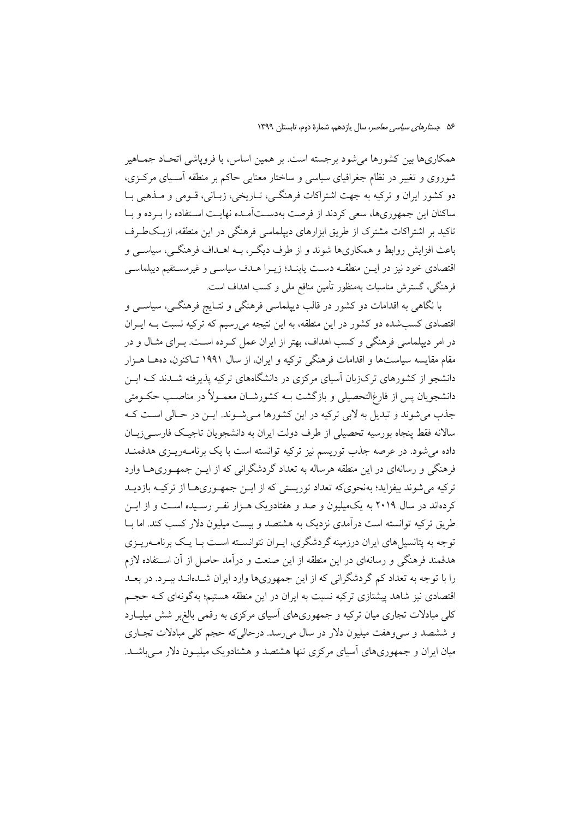همکاریها بین کشورها می شود برجسته است. بر همین اساس، با فرویاشی اتحـاد جمــاهیر شوروی و تغییر در نظام جغرافیای سیاسی و ساختار معنایی حاکم بر منطقه آسـیای مرکـزی، دو کشور ایران و ترکیه به جهت اشتراکات فرهنگـی، تـاریخی، زبـانی، قـومی و مــذهبی بــا ساکنان این جمهوریها، سعی کردند از فرصت بهدســتآمــده نهایــت اسـتفاده را بــرده و بــا تاکید بر اشتراکات مشترک از طریق ابزارهای دیپلماسی فرهنگی در این منطقه، ازیکطرف باعث افزایش روابط و همکاریها شوند و از طرف دیگـر، بــه اهــداف فرهنگــی، سیاســی و اقتصادی خود نیز در ایــن منطقــه دســت یابنــد؛ زیــرا هــدف سیاســی و غیرمسـتقیم دیپلماســی فرهنگی، گسترش مناسبات بهمنظور تأمین منافع ملی و کسب اهداف است.

با نگاهی به اقدامات دو کشور در قالب دیپلماسی فرهنگی و نتـایج فرهنگــی، سیاســی و اقتصادی کسبشده دو کشور در این منطقه، به این نتیجه می رسیم که ترکیه نسبت بـه ایـران در امر دیپلماسی فرهنگی و کسب اهداف، بهتر از ایران عمل کـرده اسـت. بـرای مثـال و در مقام مقايسه سياستها و اقدامات فرهنگي تركيه و ايران، از سال ۱۹۹۱ تــاكنون، دههــا هــزار دانشجو از کشورهای ترکزبان آسیای مرکزی در دانشگاههای ترکیه پذیرفته شـدند کـه ایــن دانشجویان پس از فارغ|لتحصیلی و بازگشت بــه کشورشــان معمــولأ در مناصــب حکــومتی جذب می شوند و تبدیل به لابی ترکیه در این کشورها می شوند. ایـن در حـالی اسـت کـه سالانه فقط پنجاه بورسیه تحصیلی از طرف دولت ایران به دانشجویان تاجیک فارسه زبان داده می شود. در عرصه جذب توریسم نیز ترکیه توانسته است با یک برنامــهریــزی هدفمنــد فرهنگی و رسانهای در این منطقه هرساله به تعداد گردشگرانی که از ایــن جمهــوریهــا وارد تر کبه می شوند بیفزاید؛ بهنجوی که تعداد توریستی که از این جمههوری هیا از ترکیبه بازدیید کردهاند در سال ۲۰۱۹ به یک میلیون و صد و هفتادویک هیزار نفی رسیده است و از این طریق ترکیه توانسته است درآمدی نزدیک به هشتصد و بیست میلیون دلار کسب کند. اما بــا توجه به پتانسبلهای ایران درزمینه گردشگری، ایبران نتوانسیته است بیا یک برنامیهریبزی هدفمند فرهنگی و رسانهای در این منطقه از این صنعت و درآمد حاصل از آن اسـتفاده لازم را با توجه به تعداد کم گردشگرانی که از این جمهوریها وارد ایران شـدهانـد ببـرد. در بعـد اقتصادی نیز شاهد پیشتازی ترکیه نسبت به ایران در این منطقه هستیم؛ بهگونهای کـه حجـم کلی مبادلات تجاری میان ترکیه و جمهوریهای آسیای مرکزی به رقمی بالغ بر شش میلیـارد و ششصد و سی وهفت میلیون دلار در سال می رسد. درحالی که حجم کلی مبادلات تجـاری میان ایران و جمهوریهای آسیای مرکزی تنها هشتصد و هشتادویک میلیـون دلار مـی باشـد.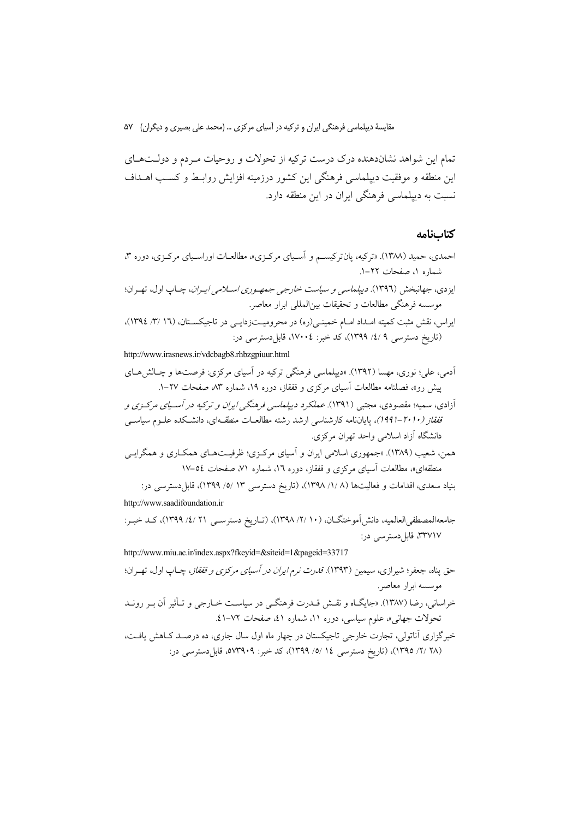تمام این شواهد نشاندهنده درک درست ترکیه از تحولات و روحیات مـردم و دولــتهـای این منطقه و موفقیت دیپلماسی فرهنگی این کشور درزمینه افزایش روابـط و کسـب اهــداف نسبت به دیپلماسی فرهنگی ایران در این منطقه دارد.

#### كتابنامه

http://www.irasnews.ir/vdcbagb8.rhbzgpiuur.html

http://www.saadifoundation.ir

http://www.miu.ac.ir/index.aspx?fkeyid=&siteid=1&pageid=33717 حق پناه، جعفر؛ شیرازی، سیمین (۱۳۹۳). *قدرت نرم ایران در آسیای مرکزی و قفقاز*، چـاپ اول، تهـران؛ موسسه ابرار معاصر. خراسانی، رضا (۱۳۸۷). «جایگـاه و نقـش قــدرت فرهنگــی در سیاســت خــارجی و تــأثیر آن بــر رونــد تحولات جهاني»، علوم سياسي، دوره ١١، شماره ٤١، صفحات ٧٢-٤١. خبرگزاری آناتولی، تجارت خارجی تاجیکستان در چهار ماه اول سال جاری، ده درصـد کــاهش یافــت، (٢٨ /٢/ ١٣٩٥)، (تاريخ دسترسي ١٤ /٥/ ١٣٩٩)، كد خبر: ٥٧٣٩٠٩، قابلددسترسي در: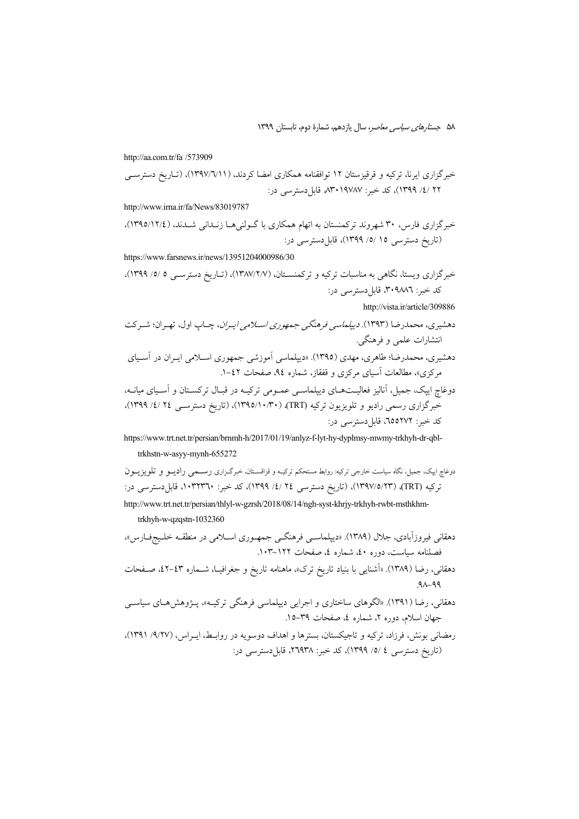http://aa.com.tr/fa /573909

http://www.irna.ir/fa/News/83019787

https://www.farsnews.ir/news/13951204000986/30

http://vista.ir/article/309886

https://www.trt.net.tr/persian/brnmh-h/2017/01/19/anlyz-f-lyt-hy-dyplmsy-mwmy-trkhyh-dr-qbltrkhstn-w-asyy-mynh-655272

- دهقانی، رضا (۱۳۸۹). «اَشنایی با بنیاد تاریخ ترک»، ماهنامه تاریخ و جغرافیــا، شــماره ٤٣ـ-٤٢، صـفحات  $90 - 99$
- دهقانی، رضا (۱۳۹۱). «الگوهای ساختاری و اجرایی دیپلماسی فرهنگی ترکیـه»، پـژوهش۵هـای سیاســی ۔<br>جهان اسلام، دورہ ۲، شمارہ ٤، صفحات ٣٩–١٥.
- رمضانی بونش، فرزاد، ترکیه و تاجیکستان، بسترها و اهداف دوسویه در روابـط، ایــراس، (۹/۲۷/ ۹۳۹۱)، (تاریخ دسترسی ٤ /٥/ ١٣٩٩)، کد خبر: ٢٦٩٣٨، قابلدسترسی در: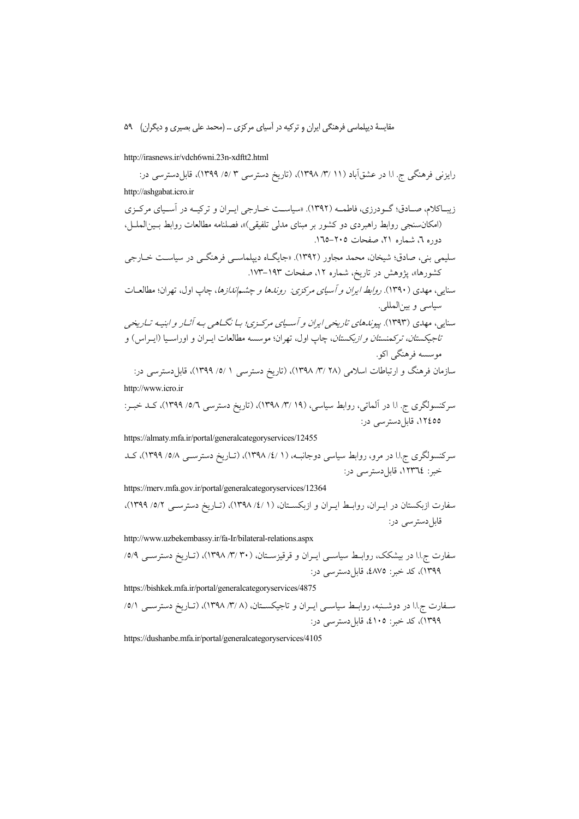http://irasnews.ir/vdch6wni.23n-xdftt2.html

رایزنی فرهنگی ج. ا.ا در عشقآباد (۱۱ /۳/ ۱۳۹۸)، (تاریخ دسترسی ۳ /٥/ ۱۳۹۹)، قابل دسترسی در: http://ashgabat.icro.ir زیباکلام، صـادق؛ گـودرزی، فاطمــه (۱۳۹۲). «سیاسـت خــارجی ایــران و ترکیــه در آسـیای مرکــزی (امکان سنجی روابط راهبردی دو کشور بر مبنای مدل<sub>ی</sub> تلفیقی)»، فصلنامه مطالعات روابط بـینالملــل، دوره ٦، شماره ٢١، صفحات ٢٠٥–١٦٥. سلیمی بنی، صادق؛ شیخان، محمد مجاور (۱۳۹۲). «جایگـاه دیپلماســی فرهنگــی در سیاســت خــارجی کشورها»، یژوهش در تاریخ، شماره ۱۲، صفحات ۱۹۳–۱۷۳. سنایی، مهدی (۱۳۹۰). *روابط ایران و آسیای مرکزی: روندها و چشماندازها*، چاپ اول، تهران؛ مطالعـات سياسي و بينالمللي. .<br>سنایی، مهدی (۱۳۹۳). پیو*ندهای تاریخی ایران و آسیای مرکیزی؛ بیا نگیاهی بیه آثیار و ابنییه تیاریخی تاجيكستان، تركمنستان و ازبكستان*، چاپ اول، تهران؛ موسسه مطالعات ايـران و اوراسـيا (ايـراس) و موسسه فرهنگی اکو. سازمان فرهنگ و ارتباطات اسلامی (۲۸ /۳/ ۱۳۹۸)، (تاریخ دسترسی ۱ /٥/ ۱۳۹۹)، قابل۵سترسی در:

http://www.icro.ir

https://almaty.mfa.ir/portal/generalcategoryservices/12455

https://merv.mfa.gov.ir/portal/generalcategoryservices/12364

http://www.uzbekembassy.ir/fa-Ir/bilateral-relations.aspx

https://bishkek.mfa.ir/portal/generalcategoryservices/4875

https://dushanbe.mfa.ir/portal/generalcategoryservices/4105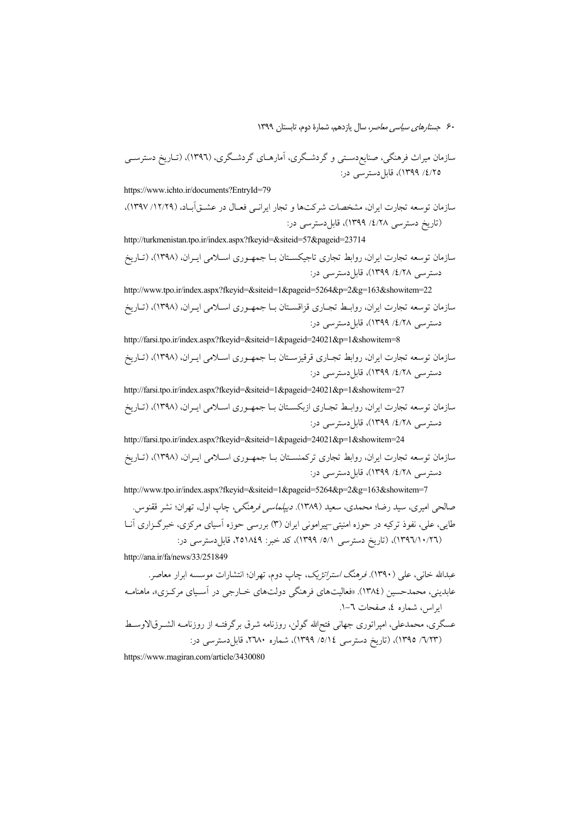"
 \-!) (1396 ) ( 
? 
( 
? " A-n "(
# ã
 ,\$ : "
 I'0 (1399 25/4/

https://www.ichto.ir/documents?EntryId=79

سازمان توسعه تجارت ایران، مشخصات شرکتها و تجار ایرانــی فعــال در عشــق|بــاد، (۱۲/۲۹/ ۱۳۹۷)، (تاریخ دسترسی ۱۲۸/ ۱۳۹۹)، قابلدسترسی در:

http://turkmenistan.tpo.ir/index.aspx?fkeyid=&siteid=57&pageid=23714 سازمان توسعه تجارت ایران، روابط تجاری تاجیکســتان بــا جمهــوری اســلامی ایــران، (۱۳۹۸)، (تــاریخ دسترسی ٤/٢٨/ ١٣٩٩)، قابلدسترسی در:

http://www.tpo.ir/index.aspx?fkeyid=&siteid=1&pageid=5264&p=2&g=163&showitem=22 سازمان توسعه تجارت ايران، روابــط تجــارى قزاقســتان بــا جمهــورى اســلامى ايــران. (١٣٩٨). (تــاريخ دسترسی ٤/٢٨/ ١٣٩٩)، قابلدسترسی در:

http://farsi.tpo.ir/index.aspx?fkeyid=&siteid=1&pageid=24021&p=1&showitem=8 سازمان توسعه تجارت ايران، روابط تجــارى قرقيزســتان بــا جمهــورى اســلامى ايــران. (١٣٩٨). (تــاريخ دسترسی ٤/٢٨/ ١٣٩٩)، قابلدسترسی در:

http://farsi.tpo.ir/index.aspx?fkeyid=&siteid=1&pageid=24021&p=1&showitem=27 سازمان توسعه تجارت ايران، روابـط تجــاري ازبكســتان بــا جمهــوري اســلامي ايــران، (١٣٩٨)، (تــاريخ دسترسی ٤/٢٨/ ١٣٩٩)، قابلدسترسی در:

http://farsi.tpo.ir/index.aspx?fkeyid=&siteid=1&pageid=24021&p=1&showitem=24 سازمان توسعه تجارت ایران، روابط تجاری ترکمنســتان بــا جمهــوری اســلامی ایــران، (۱۳۹۸). (تــاریخ دسترسی ٤/٢٨/ ١٣٩٩)، قابلدسترسی در:

http://www.tpo.ir/index.aspx?fkeyid=&siteid=1&pageid=5264&p=2&g=163&showitem=7

.@0 
/ },
! åE "(
# "78- .( 1389) %& % }x % " BA / ?
1:  4\$S " 
' ( " -,
 )3 / " - 4\$S + 
! j5/ "7J "-g : "
 I'0 251849 :
1: % (1399 1/5/ "
 \-!) (1396 )26/10/

http://ana.ir/fa/news/33/251849

.
A& 
' += )/ },
! > åE -Q w!
 l
# (. 1390 " 7J" ) /: {%1J + « 
 ": \*B "(
# .(»B&#\* 1384 3 ) =S% %'J-" 6 -1. ) 5A 4 4 @
- LF ä
B +/\$ \$ +#
?
' ä
 +/\$ 3B? { /" à# !
8 "7J% (=J : "
 I'0 2680 4 ( 1399 14/5/ "
 \-!) (1395 )23/6 /

https://www.magiran.com/article/3430080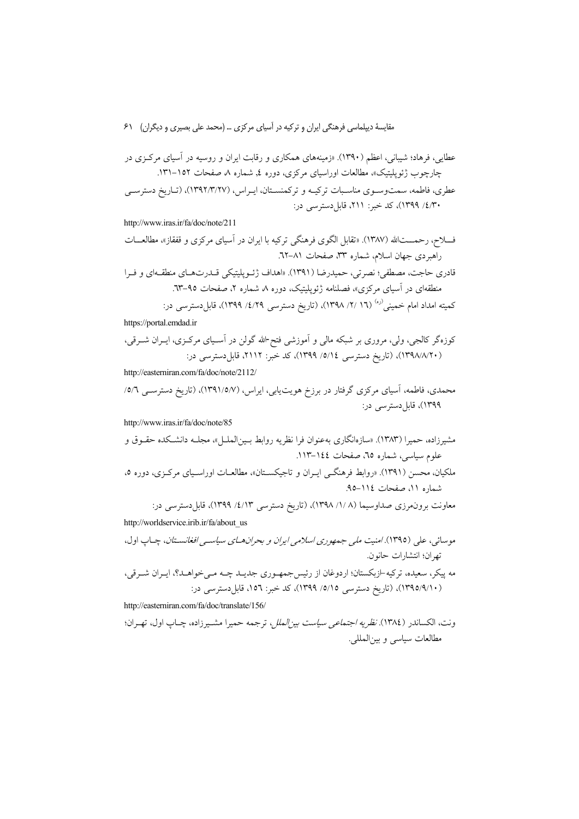http://www.iras.ir/fa/doc/note/211

کمیته امداد امام خمین<sub>ی</sub><sup>(ره)</sup> (۱۲ /۲/ ۱۳۹۸)، (تاریخ دسترس<sub>ی</sub> ۶/۱۶/ ۱۳۹۹)، قابل۵دسترس<sub>ی</sub> در: https://portal.emdad.ir

http://easterniran.com/fa/doc/note/2112/

http://www.iras.ir/fa/doc/note/85

معاونت برون.رزی صداوسیما (۱/ ۸/ ۱۳۹۸)، (تاریخ دسترسی ۱/٤/ ۱۳۹۹)، قابلدسترسی در:

http://worldservice.irib.ir/fa/about\_us

http://easterniran.com/fa/doc/translate/156/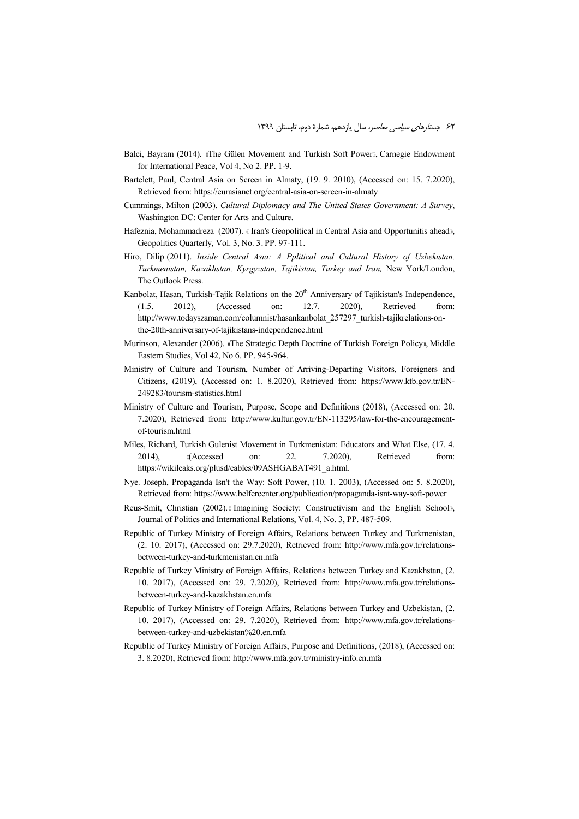- Balci, Bayram (2014). «The Gülen Movement and Turkish Soft Power», Carnegie Endowment for International Peace, Vol 4, No 2. PP. 1-9.
- Bartelett, Paul, Central Asia on Screen in Almaty, (19. 9. 2010), (Accessed on: 15. 7.2020), Retrieved from: https://eurasianet.org/central-asia-on-screen-in-almaty
- Cummings, Milton (2003). *Cultural Diplomacy and The United States Government: A Survey*, Washington DC: Center for Arts and Culture.
- Hafeznia, Mohammadreza (2007). « Iran's Geopolitical in Central Asia and Opportunitis ahead», Geopolitics Quarterly, Vol. 3, No. 3. PP. 97-111.
- Hiro, Dilip (2011). *Inside Central Asia: A Pplitical and Cultural History of Uzbekistan, Turkmenistan, Kazakhstan, Kyrgyzstan, Tajikistan, Turkey and Iran,* New York/London, The Outlook Press.
- Kanbolat, Hasan, Turkish-Tajik Relations on the  $20<sup>th</sup>$  Anniversary of Tajikistan's Independence, (1.5. 2012), (Accessed on: 12.7. 2020), Retrieved from: http://www.todayszaman.com/columnist/hasankanbolat\_257297\_turkish-tajikrelations-onthe-20th-anniversary-of-tajikistans-independence.html
- Murinson, Alexander (2006). «The Strategic Depth Doctrine of Turkish Foreign Policy», Middle Eastern Studies, Vol 42, No 6. PP. 945-964.
- Ministry of Culture and Tourism, Number of Arriving-Departing Visitors, Foreigners and Citizens, (2019), (Accessed on: 1. 8.2020), Retrieved from: https://www.ktb.gov.tr/EN-249283/tourism-statistics.html
- Ministry of Culture and Tourism, Purpose, Scope and Definitions (2018), (Accessed on: 20. 7.2020), Retrieved from: http://www.kultur.gov.tr/EN-113295/law-for-the-encouragementof-tourism.html
- Miles, Richard, Turkish Gulenist Movement in Turkmenistan: Educators and What Else, (17. 4. 2014), «(Accessed on: 22. 7.2020), Retrieved from: https://wikileaks.org/plusd/cables/09ASHGABAT491\_a.html.
- Nye. Joseph, Propaganda Isn't the Way: Soft Power, (10. 1. 2003), (Accessed on: 5. 8.2020), Retrieved from: https://www.belfercenter.org/publication/propaganda-isnt-way-soft-power
- Reus-Smit, Christian (2002). « Imagining Society: Constructivism and the English School», Journal of Politics and International Relations, Vol. 4, No. 3, PP. 487-509.
- Republic of Turkey Ministry of Foreign Affairs, Relations between Turkey and Turkmenistan, (2. 10. 2017), (Accessed on: 29.7.2020), Retrieved from: http://www.mfa.gov.tr/relationsbetween-turkey-and-turkmenistan.en.mfa
- Republic of Turkey Ministry of Foreign Affairs, Relations between Turkey and Kazakhstan, (2. 10. 2017), (Accessed on: 29. 7.2020), Retrieved from: http://www.mfa.gov.tr/relationsbetween-turkey-and-kazakhstan.en.mfa
- Republic of Turkey Ministry of Foreign Affairs, Relations between Turkey and Uzbekistan, (2. 10. 2017), (Accessed on: 29. 7.2020), Retrieved from: http://www.mfa.gov.tr/relationsbetween-turkey-and-uzbekistan%20.en.mfa
- Republic of Turkey Ministry of Foreign Affairs, Purpose and Definitions, (2018), (Accessed on: 3. 8.2020), Retrieved from: http://www.mfa.gov.tr/ministry-info.en.mfa